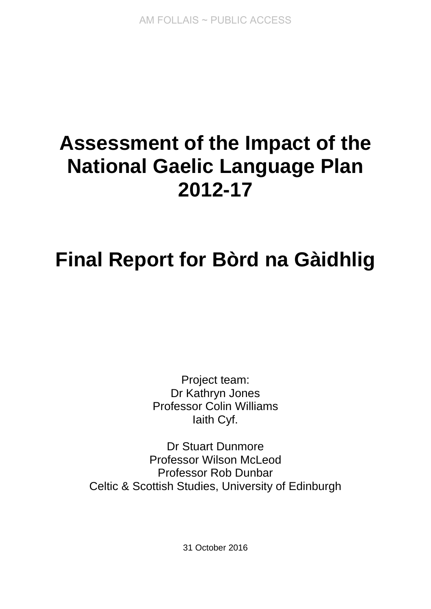# **Assessment of the Impact of the National Gaelic Language Plan 2012-17**

# **Final Report for Bòrd na Gàidhlig**

Project team: Dr Kathryn Jones Professor Colin Williams Iaith Cyf.

Dr Stuart Dunmore Professor Wilson McLeod Professor Rob Dunbar Celtic & Scottish Studies, University of Edinburgh

31 October 2016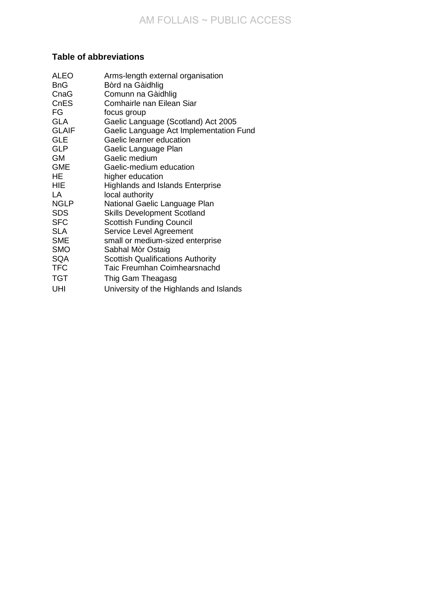# **Table of abbreviations**

| <b>ALEO</b>  | Arms-length external organisation        |
|--------------|------------------------------------------|
| <b>BnG</b>   | Bòrd na Gàidhlig                         |
| CnaG         | Comunn na Gàidhlig                       |
| <b>CnES</b>  | Comhairle nan Eilean Siar                |
| FG           | focus group                              |
| <b>GLA</b>   | Gaelic Language (Scotland) Act 2005      |
| <b>GLAIF</b> | Gaelic Language Act Implementation Fund  |
| <b>GLE</b>   | Gaelic learner education                 |
| <b>GLP</b>   | Gaelic Language Plan                     |
| <b>GM</b>    | Gaelic medium                            |
| <b>GME</b>   | Gaelic-medium education                  |
| HE           | higher education                         |
| <b>HIE</b>   | <b>Highlands and Islands Enterprise</b>  |
| LA           | local authority                          |
| <b>NGLP</b>  | National Gaelic Language Plan            |
| <b>SDS</b>   | <b>Skills Development Scotland</b>       |
| <b>SFC</b>   | <b>Scottish Funding Council</b>          |
| <b>SLA</b>   | Service Level Agreement                  |
| <b>SME</b>   | small or medium-sized enterprise         |
| <b>SMO</b>   | Sabhal Mòr Ostaig                        |
| <b>SQA</b>   | <b>Scottish Qualifications Authority</b> |
| <b>TFC</b>   | <b>Taic Freumhan Coimhearsnachd</b>      |
| <b>TGT</b>   | Thig Gam Theagasg                        |
| UHI          | University of the Highlands and Islands  |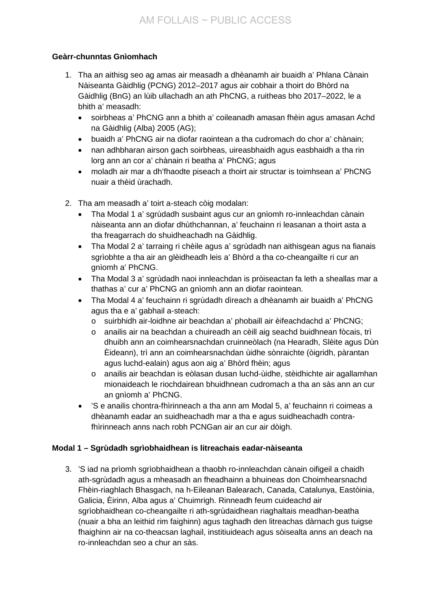# **Geàrr-chunntas Gnìomhach**

- 1. Tha an aithisg seo ag amas air measadh a dhèanamh air buaidh a' Phlana Cànain Nàiseanta Gàidhlig (PCNG) 2012–2017 agus air cobhair a thoirt do Bhòrd na Gàidhlig (BnG) an lùib ullachadh an ath PhCNG, a ruitheas bho 2017–2022, le a bhith a' measadh:
	- soirbheas a' PhCNG ann a bhith a' coileanadh amasan fhèin agus amasan Achd na Gàidhlig (Alba) 2005 (AG);
	- buaidh a' PhCNG air na diofar raointean a tha cudromach do chor a' chànain;
	- nan adhbharan airson gach soirbheas, uireasbhaidh agus easbhaidh a tha rin lorg ann an cor a' chànain ri beatha a' PhCNG; agus
	- moladh air mar a dh'fhaodte piseach a thoirt air structar is toimhsean a' PhCNG nuair a thèid ùrachadh.
- 2. Tha am measadh a' toirt a-steach còig modalan:
	- Tha Modal 1 a' sgrùdadh susbaint agus cur an gnìomh ro-innleachdan cànain nàiseanta ann an diofar dhùthchannan, a' feuchainn ri leasanan a thoirt asta a tha freagarrach do shuidheachadh na Gàidhlig.
	- Tha Modal 2 a' tarraing ri chèile agus a' sgrùdadh nan aithisgean agus na fianais sgrìobhte a tha air an glèidheadh leis a' Bhòrd a tha co-cheangailte ri cur an gnìomh a' PhCNG.
	- Tha Modal 3 a' sgrùdadh naoi innleachdan is pròiseactan fa leth a sheallas mar a thathas a' cur a' PhCNG an gnìomh ann an diofar raointean.
	- Tha Modal 4 a' feuchainn ri sgrùdadh dìreach a dhèanamh air buaidh a' PhCNG agus tha e a' gabhail a-steach:
		- o suirbhidh air-loidhne air beachdan a' phobaill air èifeachdachd a' PhCNG;
		- o anailis air na beachdan a chuireadh an cèill aig seachd buidhnean fòcais, trì dhuibh ann an coimhearsnachdan cruinneòlach (na Hearadh, Slèite agus Dùn Èideann), trì ann an coimhearsnachdan ùidhe sònraichte (òigridh, pàrantan agus luchd-ealain) agus aon aig a' Bhòrd fhèin; agus
		- o anailis air beachdan is eòlasan dusan luchd-ùidhe, stèidhichte air agallamhan mionaideach le riochdairean bhuidhnean cudromach a tha an sàs ann an cur an gnìomh a' PhCNG.
	- 'S e anailis chontra-fhìrinneach a tha ann am Modal 5, a' feuchainn ri coimeas a dhèanamh eadar an suidheachadh mar a tha e agus suidheachadh contrafhìrinneach anns nach robh PCNGan air an cur air dòigh.

# **Modal 1 – Sgrùdadh sgrìobhaidhean is litreachais eadar-nàiseanta**

3. 'S iad na prìomh sgrìobhaidhean a thaobh ro-innleachdan cànain oifigeil a chaidh ath-sgrùdadh agus a mheasadh an fheadhainn a bhuineas don Choimhearsnachd Fhèin-riaghlach Bhasgach, na h-Eileanan Balearach, Canada, Catalunya, Eastòinia, Galicia, Èirinn, Alba agus a' Chuimrigh. Rinneadh feum cuideachd air sgrìobhaidhean co-cheangailte ri ath-sgrùdaidhean riaghaltais meadhan-beatha (nuair a bha an leithid rim faighinn) agus taghadh den litreachas dàrnach gus tuigse fhaighinn air na co-theacsan laghail, institiuideach agus sòisealta anns an deach na ro-innleachdan seo a chur an sàs.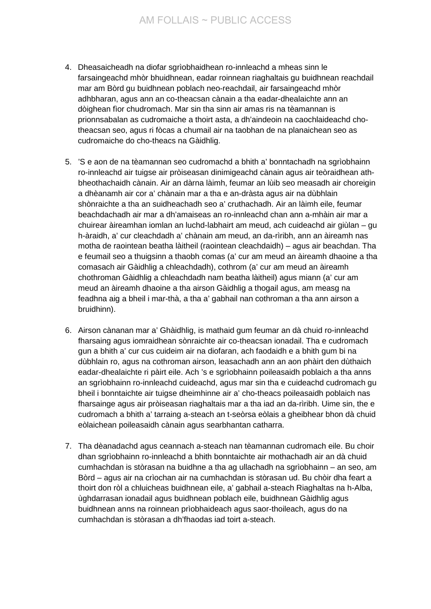- 4. Dheasaicheadh na diofar sgrìobhaidhean ro-innleachd a mheas sinn le farsaingeachd mhòr bhuidhnean, eadar roinnean riaghaltais gu buidhnean reachdail mar am Bòrd gu buidhnean poblach neo-reachdail, air farsaingeachd mhòr adhbharan, agus ann an co-theacsan cànain a tha eadar-dhealaichte ann an dòighean fìor chudromach. Mar sin tha sinn air amas ris na tèamannan is prionnsabalan as cudromaiche a thoirt asta, a dh'aindeoin na caochlaideachd chotheacsan seo, agus ri fòcas a chumail air na taobhan de na planaichean seo as cudromaiche do cho-theacs na Gàidhlig.
- 5. 'S e aon de na tèamannan seo cudromachd a bhith a' bonntachadh na sgrìobhainn ro-innleachd air tuigse air pròiseasan dinimigeachd cànain agus air teòraidhean athbheothachaidh cànain. Air an dàrna làimh, feumar an lùib seo measadh air choreigin a dhèanamh air cor a' chànain mar a tha e an-dràsta agus air na dùbhlain shònraichte a tha an suidheachadh seo a' cruthachadh. Air an làimh eile, feumar beachdachadh air mar a dh'amaiseas an ro-innleachd chan ann a-mhàin air mar a chuirear àireamhan iomlan an luchd-labhairt am meud, ach cuideachd air giùlan – gu h-àraidh, a' cur cleachdadh a' chànain am meud, an da-rìribh, ann an àireamh nas motha de raointean beatha làitheil (raointean cleachdaidh) – agus air beachdan. Tha e feumail seo a thuigsinn a thaobh comas (a' cur am meud an àireamh dhaoine a tha comasach air Gàidhlig a chleachdadh), cothrom (a' cur am meud an àireamh chothroman Gàidhlig a chleachdadh nam beatha làitheil) agus miann (a' cur am meud an àireamh dhaoine a tha airson Gàidhlig a thogail agus, am measg na feadhna aig a bheil i mar-thà, a tha a' gabhail nan cothroman a tha ann airson a bruidhinn).
- 6. Airson cànanan mar a' Ghàidhlig, is mathaid gum feumar an dà chuid ro-innleachd fharsaing agus iomraidhean sònraichte air co-theacsan ionadail. Tha e cudromach gun a bhith a' cur cus cuideim air na diofaran, ach faodaidh e a bhith gum bi na dùbhlain ro, agus na cothroman airson, leasachadh ann an aon phàirt den dùthaich eadar-dhealaichte ri pàirt eile. Ach 's e sgrìobhainn poileasaidh poblaich a tha anns an sgrìobhainn ro-innleachd cuideachd, agus mar sin tha e cuideachd cudromach gu bheil i bonntaichte air tuigse dheimhinne air a' cho-theacs poileasaidh poblaich nas fharsainge agus air pròiseasan riaghaltais mar a tha iad an da-rìribh. Uime sin, the e cudromach a bhith a' tarraing a-steach an t-seòrsa eòlais a gheibhear bhon dà chuid eòlaichean poileasaidh cànain agus searbhantan catharra.
- 7. Tha dèanadachd agus ceannach a-steach nan tèamannan cudromach eile. Bu choir dhan sgrìobhainn ro-innleachd a bhith bonntaichte air mothachadh air an dà chuid cumhachdan is stòrasan na buidhne a tha ag ullachadh na sgrìobhainn – an seo, am Bòrd – agus air na crìochan air na cumhachdan is stòrasan ud. Bu chòir dha feart a thoirt don ròl a chluicheas buidhnean eile, a' gabhail a-steach Riaghaltas na h-Alba, ùghdarrasan ionadail agus buidhnean poblach eile, buidhnean Gàidhlig agus buidhnean anns na roinnean prìobhaideach agus saor-thoileach, agus do na cumhachdan is stòrasan a dh'fhaodas iad toirt a-steach.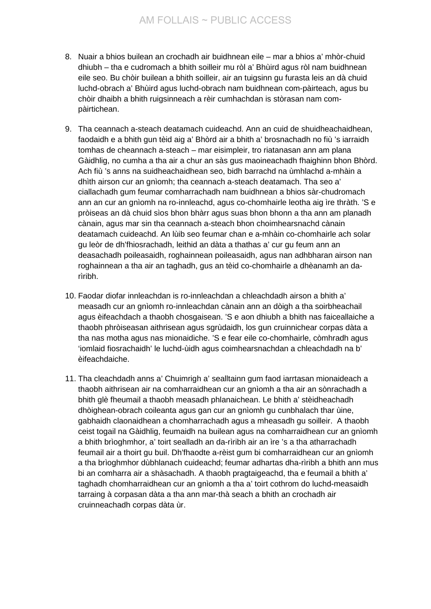- 8. Nuair a bhios builean an crochadh air buidhnean eile mar a bhios a' mhòr-chuid dhiubh – tha e cudromach a bhith soilleir mu ròl a' Bhùird agus ròl nam buidhnean eile seo. Bu chòir builean a bhith soilleir, air an tuigsinn gu furasta leis an dà chuid luchd-obrach a' Bhùird agus luchd-obrach nam buidhnean com-pàirteach, agus bu chòir dhaibh a bhith ruigsinneach a rèir cumhachdan is stòrasan nam compàirtichean.
- 9. Tha ceannach a-steach deatamach cuideachd. Ann an cuid de shuidheachaidhean, faodaidh e a bhith gun tèid aig a' Bhòrd air a bhith a' brosnachadh no fiù 's iarraidh tomhas de cheannach a-steach – mar eisimpleir, tro riatanasan ann am plana Gàidhlig, no cumha a tha air a chur an sàs gus maoineachadh fhaighinn bhon Bhòrd. Ach fiù 's anns na suidheachaidhean seo, bidh barrachd na ùmhlachd a-mhàin a dhìth airson cur an gnìomh; tha ceannach a-steach deatamach. Tha seo a' ciallachadh gum feumar comharrachadh nam buidhnean a bhios sàr-chudromach ann an cur an gnìomh na ro-innleachd, agus co-chomhairle leotha aig ìre thràth. 'S e pròiseas an dà chuid sìos bhon bhàrr agus suas bhon bhonn a tha ann am planadh cànain, agus mar sin tha ceannach a-steach bhon choimhearsnachd cànain deatamach cuideachd. An lùib seo feumar chan e a-mhàin co-chomhairle ach solar gu leòr de dh'fhiosrachadh, leithid an dàta a thathas a' cur gu feum ann an deasachadh poileasaidh, roghainnean poileasaidh, agus nan adhbharan airson nan roghainnean a tha air an taghadh, gus an tèid co-chomhairle a dhèanamh an darìribh.
- 10. Faodar diofar innleachdan is ro-innleachdan a chleachdadh airson a bhith a' measadh cur an gnìomh ro-innleachdan cànain ann an dòigh a tha soirbheachail agus èifeachdach a thaobh chosgaisean. 'S e aon dhiubh a bhith nas faiceallaiche a thaobh phròiseasan aithrisean agus sgrùdaidh, los gun cruinnichear corpas dàta a tha nas motha agus nas mionaidiche. 'S e fear eile co-chomhairle, còmhradh agus 'iomlaid fiosrachaidh' le luchd-ùidh agus coimhearsnachdan a chleachdadh na b' èifeachdaiche.
- 11. Tha cleachdadh anns a' Chuimrigh a' sealltainn gum faod iarrtasan mionaideach a thaobh aithrisean air na comharraidhean cur an gnìomh a tha air an sònrachadh a bhith glè fheumail a thaobh measadh phlanaichean. Le bhith a' stèidheachadh dhòighean-obrach coileanta agus gan cur an gnìomh gu cunbhalach thar ùine, gabhaidh claonaidhean a chomharrachadh agus a mheasadh gu soilleir. A thaobh ceist togail na Gàidhlig, feumaidh na builean agus na comharraidhean cur an gnìomh a bhith brìoghmhor, a' toirt sealladh an da-rìribh air an ìre 's a tha atharrachadh feumail air a thoirt gu buil. Dh'fhaodte a-rèist gum bi comharraidhean cur an gnìomh a tha brìoghmhor dùbhlanach cuideachd; feumar adhartas dha-rìribh a bhith ann mus bi an comharra air a shàsachadh. A thaobh pragtaigeachd, tha e feumail a bhith a' taghadh chomharraidhean cur an gnìomh a tha a' toirt cothrom do luchd-measaidh tarraing à corpasan dàta a tha ann mar-thà seach a bhith an crochadh air cruinneachadh corpas dàta ùr.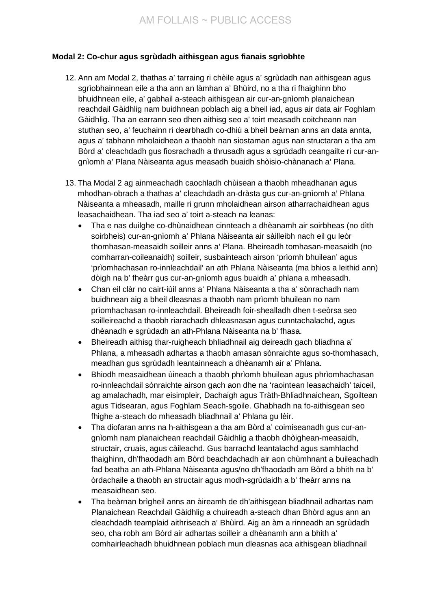## **Modal 2: Co-chur agus sgrùdadh aithisgean agus fianais sgrìobhte**

- 12. Ann am Modal 2, thathas a' tarraing ri chèile agus a' sgrùdadh nan aithisgean agus sgrìobhainnean eile a tha ann an làmhan a' Bhùird, no a tha ri fhaighinn bho bhuidhnean eile, a' gabhail a-steach aithisgean air cur-an-gnìomh planaichean reachdail Gàidhlig nam buidhnean poblach aig a bheil iad, agus air data air Foghlam Gàidhlig. Tha an earrann seo dhen aithisg seo a' toirt measadh coitcheann nan stuthan seo, a' feuchainn ri dearbhadh co-dhiù a bheil beàrnan anns an data annta, agus a' tabhann mholaidhean a thaobh nan siostaman agus nan structaran a tha am Bòrd a' cleachdadh gus fiosrachadh a thrusadh agus a sgrùdadh ceangailte ri cur-angnìomh a' Plana Nàiseanta agus measadh buaidh shòisio-chànanach a' Plana.
- 13. Tha Modal 2 ag ainmeachadh caochladh chùisean a thaobh mheadhanan agus mhodhan-obrach a thathas a' cleachdadh an-dràsta gus cur-an-gnìomh a' Phlana Nàiseanta a mheasadh, maille ri grunn mholaidhean airson atharrachaidhean agus leasachaidhean. Tha iad seo a' toirt a-steach na leanas:
	- Tha e nas duilghe co-dhùnaidhean cinnteach a dhèanamh air soirbheas (no dìth soirbheis) cur-an-gnìomh a' Phlana Nàiseanta air sàilleibh nach eil gu leòr thomhasan-measaidh soilleir anns a' Plana. Bheireadh tomhasan-measaidh (no comharran-coileanaidh) soilleir, susbainteach airson 'prìomh bhuilean' agus 'prìomhachasan ro-innleachdail' an ath Phlana Nàiseanta (ma bhios a leithid ann) dòigh na b' fheàrr gus cur-an-gnìomh agus buaidh a' phlana a mheasadh.
	- Chan eil clàr no cairt-iùil anns a' Phlana Nàiseanta a tha a' sònrachadh nam buidhnean aig a bheil dleasnas a thaobh nam prìomh bhuilean no nam prìomhachasan ro-innleachdail. Bheireadh foir-shealladh dhen t-seòrsa seo soilleireachd a thaobh riarachadh dhleasnasan agus cunntachalachd, agus dhèanadh e sgrùdadh an ath-Phlana Nàiseanta na b' fhasa.
	- Bheireadh aithisg thar-ruigheach bhliadhnail aig deireadh gach bliadhna a' Phlana, a mheasadh adhartas a thaobh amasan sònraichte agus so-thomhasach, meadhan gus sgrùdadh leantainneach a dhèanamh air a' Phlana.
	- Bhiodh measaidhean ùineach a thaobh phrìomh bhuilean agus phrìomhachasan ro-innleachdail sònraichte airson gach aon dhe na 'raointean leasachaidh' taiceil, ag amalachadh, mar eisimpleir, Dachaigh agus Tràth-Bhliadhnaichean, Sgoiltean agus Tidsearan, agus Foghlam Seach-sgoile. Ghabhadh na fo-aithisgean seo fhighe a-steach do mheasadh bliadhnail a' Phlana gu lèir.
	- Tha diofaran anns na h-aithisgean a tha am Bòrd a' coimiseanadh gus cur-angnìomh nam planaichean reachdail Gàidhlig a thaobh dhòighean-measaidh, structair, cruais, agus càileachd. Gus barrachd leantalachd agus samhlachd fhaighinn, dh'fhaodadh am Bòrd beachdachadh air aon chùmhnant a buileachadh fad beatha an ath-Phlana Nàiseanta agus/no dh'fhaodadh am Bòrd a bhith na b' òrdachaile a thaobh an structair agus modh-sgrùdaidh a b' fheàrr anns na measaidhean seo.
	- Tha beàrnan brìgheil anns an àireamh de dh'aithisgean bliadhnail adhartas nam Planaichean Reachdail Gàidhlig a chuireadh a-steach dhan Bhòrd agus ann an cleachdadh teamplaid aithriseach a' Bhùird. Aig an àm a rinneadh an sgrùdadh seo, cha robh am Bòrd air adhartas soilleir a dhèanamh ann a bhith a' comhairleachadh bhuidhnean poblach mun dleasnas aca aithisgean bliadhnail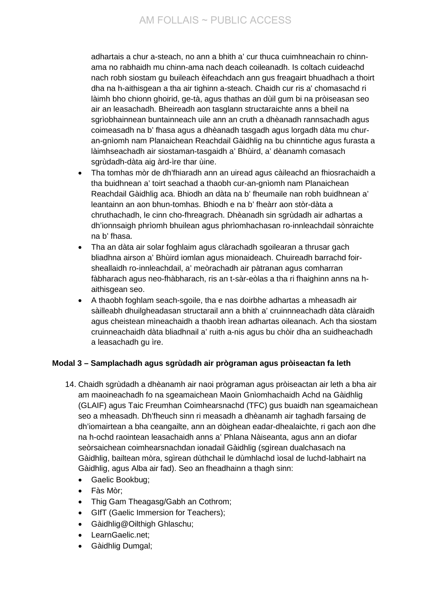# AM FOLLAIS ~ PUBLIC ACCESS

adhartais a chur a-steach, no ann a bhith a' cur thuca cuimhneachain ro chinnama no rabhaidh mu chinn-ama nach deach coileanadh. Is coltach cuideachd nach robh siostam gu buileach èifeachdach ann gus freagairt bhuadhach a thoirt dha na h-aithisgean a tha air tighinn a-steach. Chaidh cur ris a' chomasachd ri làimh bho chionn ghoirid, ge-tà, agus thathas an dùil gum bi na pròiseasan seo air an leasachadh. Bheireadh aon tasglann structaraichte anns a bheil na sgrìobhainnean buntainneach uile ann an cruth a dhèanadh rannsachadh agus coimeasadh na b' fhasa agus a dhèanadh tasgadh agus lorgadh dàta mu churan-gnìomh nam Planaichean Reachdail Gàidhlig na bu chinntiche agus furasta a làimhseachadh air siostaman-tasgaidh a' Bhùird, a' dèanamh comasach sgrùdadh-dàta aig àrd-ìre thar ùine.

- Tha tomhas mòr de dh'fhiaradh ann an uiread agus càileachd an fhiosrachaidh a tha buidhnean a' toirt seachad a thaobh cur-an-gnìomh nam Planaichean Reachdail Gàidhlig aca. Bhiodh an dàta na b' fheumaile nan robh buidhnean a' leantainn an aon bhun-tomhas. Bhiodh e na b' fheàrr aon stòr-dàta a chruthachadh, le cinn cho-fhreagrach. Dhèanadh sin sgrùdadh air adhartas a dh'ionnsaigh phrìomh bhuilean agus phrìomhachasan ro-innleachdail sònraichte na b' fhasa.
- Tha an dàta air solar foghlaim agus clàrachadh sgoilearan a thrusar gach bliadhna airson a' Bhùird iomlan agus mionaideach. Chuireadh barrachd foirsheallaidh ro-innleachdail, a' meòrachadh air pàtranan agus comharran fàbharach agus neo-fhàbharach, ris an t-sàr-eòlas a tha ri fhaighinn anns na haithisgean seo.
- A thaobh foghlam seach-sgoile, tha e nas doirbhe adhartas a mheasadh air sàilleabh dhuilgheadasan structarail ann a bhith a' cruinnneachadh dàta clàraidh agus cheistean mìneachaidh a thaobh ìrean adhartas oileanach. Ach tha siostam cruinneachaidh dàta bliadhnail a' ruith a-nis agus bu chòir dha an suidheachadh a leasachadh gu ìre.

## **Modal 3 – Samplachadh agus sgrùdadh air prògraman agus pròiseactan fa leth**

- 14. Chaidh sgrùdadh a dhèanamh air naoi prògraman agus pròiseactan air leth a bha air am maoineachadh fo na sgeamaichean Maoin Gnìomhachaidh Achd na Gàidhlig (GLAIF) agus Taic Freumhan Coimhearsnachd (TFC) gus buaidh nan sgeamaichean seo a mheasadh. Dh'fheuch sinn ri measadh a dhèanamh air taghadh farsaing de dh'iomairtean a bha ceangailte, ann an dòighean eadar-dhealaichte, ri gach aon dhe na h-ochd raointean leasachaidh anns a' Phlana Nàiseanta, agus ann an diofar seòrsaichean coimhearsnachdan ionadail Gàidhlig (sgìrean dualchasach na Gàidhlig, bailtean mòra, sgìrean dùthchail le dùmhlachd ìosal de luchd-labhairt na Gàidhlig, agus Alba air fad). Seo an fheadhainn a thagh sinn:
	- Gaelic Bookbug;
	- Fàs Mòr;
	- Thig Gam Theagasg/Gabh an Cothrom;
	- GIfT (Gaelic Immersion for Teachers);
	- Gàidhlig@Oilthigh Ghlaschu;
	- LearnGaelic.net:
	- Gàidhlig Dumgal;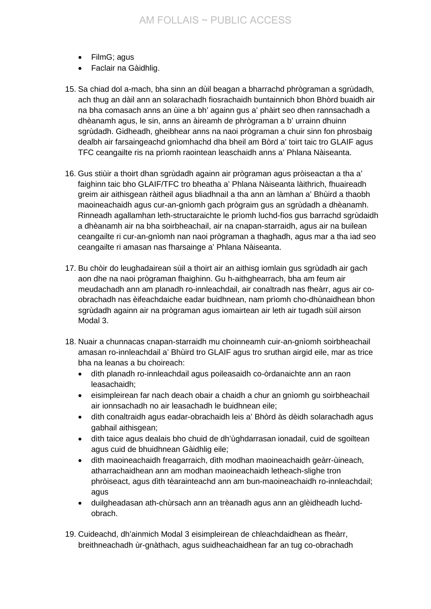- FilmG; agus
- Faclair na Gàidhlig.
- 15. Sa chiad dol a-mach, bha sinn an dùil beagan a bharrachd phrògraman a sgrùdadh, ach thug an dàil ann an solarachadh fiosrachaidh buntainnich bhon Bhòrd buaidh air na bha comasach anns an ùine a bh' againn gus a' phàirt seo dhen rannsachadh a dhèanamh agus, le sin, anns an àireamh de phrògraman a b' urrainn dhuinn sgrùdadh. Gidheadh, gheibhear anns na naoi prògraman a chuir sinn fon phrosbaig dealbh air farsaingeachd gnìomhachd dha bheil am Bòrd a' toirt taic tro GLAIF agus TFC ceangailte ris na prìomh raointean leaschaidh anns a' Phlana Nàiseanta.
- 16. Gus stiùir a thoirt dhan sgrùdadh againn air prògraman agus pròiseactan a tha a' faighinn taic bho GLAIF/TFC tro bheatha a' Phlana Nàiseanta làithrich, fhuaireadh greim air aithisgean ràitheil agus bliadhnail a tha ann an làmhan a' Bhùird a thaobh maoineachaidh agus cur-an-gnìomh gach prògraim gus an sgrùdadh a dhèanamh. Rinneadh agallamhan leth-structaraichte le prìomh luchd-fios gus barrachd sgrùdaidh a dhèanamh air na bha soirbheachail, air na cnapan-starraidh, agus air na builean ceangailte ri cur-an-gnìomh nan naoi prògraman a thaghadh, agus mar a tha iad seo ceangailte ri amasan nas fharsainge a' Phlana Nàiseanta.
- 17. Bu chòir do leughadairean sùil a thoirt air an aithisg iomlain gus sgrùdadh air gach aon dhe na naoi prògraman fhaighinn. Gu h-aithghearrach, bha am feum air meudachadh ann am planadh ro-innleachdail, air conaltradh nas fheàrr, agus air coobrachadh nas èifeachdaiche eadar buidhnean, nam prìomh cho-dhùnaidhean bhon sgrùdadh againn air na prògraman agus iomairtean air leth air tugadh sùil airson Modal 3.
- 18. Nuair a chunnacas cnapan-starraidh mu choinneamh cuir-an-gnìomh soirbheachail amasan ro-innleachdail a' Bhùird tro GLAIF agus tro sruthan airgid eile, mar as trice bha na leanas a bu choireach:
	- dìth planadh ro-innleachdail agus poileasaidh co-òrdanaichte ann an raon leasachaidh;
	- eisimpleirean far nach deach obair a chaidh a chur an gnìomh gu soirbheachail air ionnsachadh no air leasachadh le buidhnean eile;
	- dìth conaltraidh agus eadar-obrachaidh leis a' Bhòrd às dèidh solarachadh agus gabhail aithisgean;
	- dìth taice agus dealais bho chuid de dh'ùghdarrasan ionadail, cuid de sgoiltean agus cuid de bhuidhnean Gàidhlig eile;
	- dìth maoineachaidh freagarraich, dìth modhan maoineachaidh geàrr-ùineach, atharrachaidhean ann am modhan maoineachaidh letheach-slighe tron phròiseact, agus dìth tèarainteachd ann am bun-maoineachaidh ro-innleachdail; agus
	- duilgheadasan ath-chùrsach ann an trèanadh agus ann an glèidheadh luchdobrach.
- 19. Cuideachd, dh'ainmich Modal 3 eisimpleirean de chleachdaidhean as fheàrr, breithneachadh ùr-gnàthach, agus suidheachaidhean far an tug co-obrachadh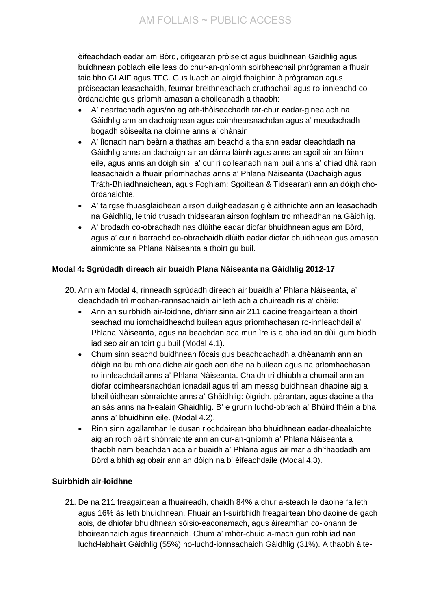èifeachdach eadar am Bòrd, oifigearan pròiseict agus buidhnean Gàidhlig agus buidhnean poblach eile leas do chur-an-gnìomh soirbheachail phrògraman a fhuair taic bho GLAIF agus TFC. Gus luach an airgid fhaighinn à prògraman agus pròiseactan leasachaidh, feumar breithneachadh cruthachail agus ro-innleachd coòrdanaichte gus prìomh amasan a choileanadh a thaobh:

- A' neartachadh agus/no ag ath-thòiseachadh tar-chur eadar-ginealach na Gàidhlig ann an dachaighean agus coimhearsnachdan agus a' meudachadh bogadh sòisealta na cloinne anns a' chànain.
- A' lìonadh nam beàrn a thathas am beachd a tha ann eadar cleachdadh na Gàidhlig anns an dachaigh air an dàrna làimh agus anns an sgoil air an làimh eile, agus anns an dòigh sin, a' cur ri coileanadh nam buil anns a' chiad dhà raon leasachaidh a fhuair prìomhachas anns a' Phlana Nàiseanta (Dachaigh agus Tràth-Bhliadhnaichean, agus Foghlam: Sgoiltean & Tidsearan) ann an dòigh choòrdanaichte.
- A' tairgse fhuasglaidhean airson duilgheadasan glè aithnichte ann an leasachadh na Gàidhlig, leithid trusadh thidsearan airson foghlam tro mheadhan na Gàidhlig.
- A' brodadh co-obrachadh nas dlùithe eadar diofar bhuidhnean agus am Bòrd, agus a' cur ri barrachd co-obrachaidh dlùith eadar diofar bhuidhnean gus amasan ainmichte sa Phlana Nàiseanta a thoirt gu buil.

# **Modal 4: Sgrùdadh dìreach air buaidh Plana Nàiseanta na Gàidhlig 2012-17**

- 20. Ann am Modal 4, rinneadh sgrùdadh dìreach air buaidh a' Phlana Nàiseanta, a' cleachdadh trì modhan-rannsachaidh air leth ach a chuireadh ris a' chèile:
	- Ann an suirbhidh air-loidhne, dh'iarr sinn air 211 daoine freagairtean a thoirt seachad mu iomchaidheachd builean agus prìomhachasan ro-innleachdail a' Phlana Nàiseanta, agus na beachdan aca mun ìre is a bha iad an dùil gum biodh iad seo air an toirt gu buil (Modal 4.1).
	- Chum sinn seachd buidhnean fòcais gus beachdachadh a dhèanamh ann an dòigh na bu mhionaidiche air gach aon dhe na builean agus na prìomhachasan ro-innleachdail anns a' Phlana Nàiseanta. Chaidh trì dhiubh a chumail ann an diofar coimhearsnachdan ionadail agus trì am measg buidhnean dhaoine aig a bheil ùidhean sònraichte anns a' Ghàidhlig: òigridh, pàrantan, agus daoine a tha an sàs anns na h-ealain Ghàidhlig. B' e grunn luchd-obrach a' Bhùird fhèin a bha anns a' bhuidhinn eile. (Modal 4.2).
	- Rinn sinn agallamhan le dusan riochdairean bho bhuidhnean eadar-dhealaichte aig an robh pàirt shònraichte ann an cur-an-gnìomh a' Phlana Nàiseanta a thaobh nam beachdan aca air buaidh a' Phlana agus air mar a dh'fhaodadh am Bòrd a bhith ag obair ann an dòigh na b' èifeachdaile (Modal 4.3).

# **Suirbhidh air-loidhne**

21. De na 211 freagairtean a fhuaireadh, chaidh 84% a chur a-steach le daoine fa leth agus 16% às leth bhuidhnean. Fhuair an t-suirbhidh freagairtean bho daoine de gach aois, de dhiofar bhuidhnean sòisio-eaconamach, agus àireamhan co-ionann de bhoireannaich agus fireannaich. Chum a' mhòr-chuid a-mach gun robh iad nan luchd-labhairt Gàidhlig (55%) no-luchd-ionnsachaidh Gàidhlig (31%). A thaobh àite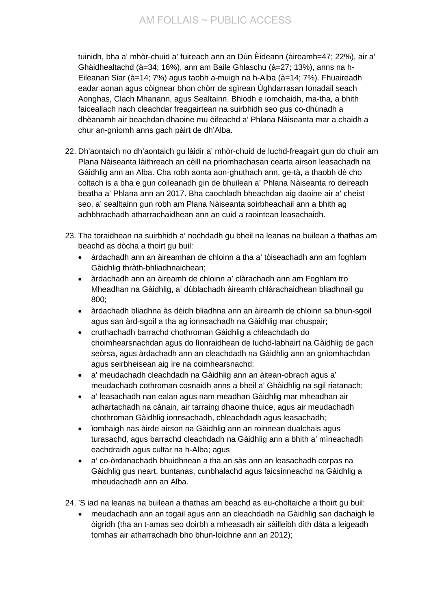tuinidh, bha a' mhòr-chuid a' fuireach ann an Dùn Èideann (àireamh=47; 22%), air a' Ghàidhealtachd (à=34; 16%), ann am Baile Ghlaschu (à=27; 13%), anns na h-Eileanan Siar (à=14; 7%) agus taobh a-muigh na h-Alba (à=14; 7%). Fhuaireadh eadar aonan agus còignear bhon chòrr de sgìrean Ùghdarrasan Ionadail seach Aonghas, Clach Mhanann, agus Sealtainn. Bhiodh e iomchaidh, ma-tha, a bhith faiceallach nach cleachdar freagairtean na suirbhidh seo gus co-dhùnadh a dhèanamh air beachdan dhaoine mu èifeachd a' Phlana Nàiseanta mar a chaidh a chur an-gnìomh anns gach pàirt de dh'Alba.

- 22. Dh'aontaich no dh'aontaich gu làidir a' mhòr-chuid de luchd-freagairt gun do chuir am Plana Nàiseanta làithreach an cèill na prìomhachasan cearta airson leasachadh na Gàidhlig ann an Alba. Cha robh aonta aon-ghuthach ann, ge-tà, a thaobh dè cho coltach is a bha e gun coileanadh gin de bhuilean a' Phlana Nàiseanta ro deireadh beatha a' Phlana ann an 2017. Bha caochladh bheachdan aig daoine air a' cheist seo, a' sealltainn gun robh am Plana Nàiseanta soirbheachail ann a bhith ag adhbhrachadh atharrachaidhean ann an cuid a raointean leasachaidh.
- 23. Tha toraidhean na suirbhidh a' nochdadh gu bheil na leanas na builean a thathas am beachd as dòcha a thoirt gu buil:
	- àrdachadh ann an àireamhan de chloinn a tha a' tòiseachadh ann am foghlam Gàidhlig thràth-bhliadhnaichean;
	- àrdachadh ann an àireamh de chloinn a' clàrachadh ann am Foghlam tro Mheadhan na Gàidhlig, a' dùblachadh àireamh chlàrachaidhean bliadhnail gu 800;
	- àrdachadh bliadhna às dèidh bliadhna ann an àireamh de chloinn sa bhun-sgoil agus san àrd-sgoil a tha ag ionnsachadh na Gàidhlig mar chuspair;
	- cruthachadh barrachd chothroman Gàidhlig a chleachdadh do choimhearsnachdan agus do lìonraidhean de luchd-labhairt na Gàidhlig de gach seòrsa, agus àrdachadh ann an cleachdadh na Gàidhlig ann an gnìomhachdan agus seirbheisean aig ìre na coimhearsnachd;
	- a' meudachadh cleachdadh na Gàidhlig ann an àitean-obrach agus a' meudachadh cothroman cosnaidh anns a bheil a' Ghàidhlig na sgil riatanach;
	- a' leasachadh nan ealan agus nam meadhan Gàidhlig mar mheadhan air adhartachadh na cànain, air tarraing dhaoine thuice, agus air meudachadh chothroman Gàidhlig ionnsachadh, chleachdadh agus leasachadh;
	- ìomhaigh nas àirde airson na Gàidhlig ann an roinnean dualchais agus turasachd, agus barrachd cleachdadh na Gàidhlig ann a bhith a' mìneachadh eachdraidh agus cultar na h-Alba; agus
	- a' co-òrdanachadh bhuidhnean a tha an sàs ann an leasachadh corpas na Gàidhlig gus neart, buntanas, cunbhalachd agus faicsinneachd na Gàidhlig a mheudachadh ann an Alba.

24. 'S iad na leanas na builean a thathas am beachd as eu-choltaiche a thoirt gu buil:

• meudachadh ann an togail agus ann an cleachdadh na Gàidhlig san dachaigh le òigridh (tha an t-amas seo doirbh a mheasadh air sàilleibh dìth dàta a leigeadh tomhas air atharrachadh bho bhun-loidhne ann an 2012);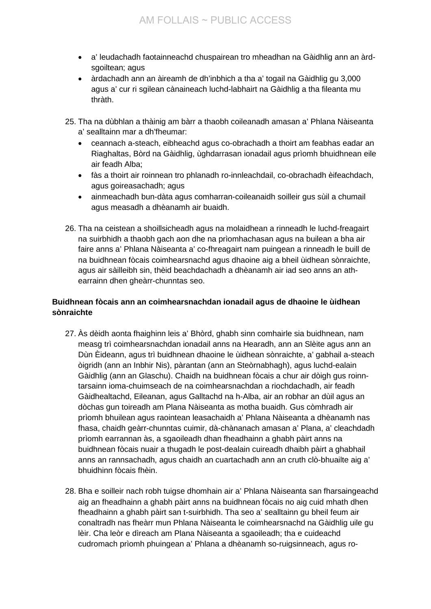- a' leudachadh faotainneachd chuspairean tro mheadhan na Gàidhlig ann an àrdsgoiltean; agus
- àrdachadh ann an àireamh de dh'inbhich a tha a' togail na Gàidhlig gu 3,000 agus a' cur ri sgilean cànaineach luchd-labhairt na Gàidhlig a tha fileanta mu thràth.
- 25. Tha na dùbhlan a thàinig am bàrr a thaobh coileanadh amasan a' Phlana Nàiseanta a' sealltainn mar a dh'fheumar:
	- ceannach a-steach, eibheachd agus co-obrachadh a thoirt am feabhas eadar an Riaghaltas, Bòrd na Gàidhlig, ùghdarrasan ionadail agus prìomh bhuidhnean eile air feadh Alba;
	- fàs a thoirt air roinnean tro phlanadh ro-innleachdail, co-obrachadh èifeachdach, agus goireasachadh; agus
	- ainmeachadh bun-dàta agus comharran-coileanaidh soilleir gus sùil a chumail agus measadh a dhèanamh air buaidh.
- 26. Tha na ceistean a shoillsicheadh agus na molaidhean a rinneadh le luchd-freagairt na suirbhidh a thaobh gach aon dhe na prìomhachasan agus na builean a bha air faire anns a' Phlana Nàiseanta a' co-fhreagairt nam puingean a rinneadh le buill de na buidhnean fòcais coimhearsnachd agus dhaoine aig a bheil ùidhean sònraichte, agus air sàilleibh sin, thèid beachdachadh a dhèanamh air iad seo anns an athearrainn dhen gheàrr-chunntas seo.

## **Buidhnean fòcais ann an coimhearsnachdan ionadail agus de dhaoine le ùidhean sònraichte**

- 27. Às dèidh aonta fhaighinn leis a' Bhòrd, ghabh sinn comhairle sia buidhnean, nam measg trì coimhearsnachdan ionadail anns na Hearadh, ann an Slèite agus ann an Dùn Èideann, agus trì buidhnean dhaoine le ùidhean sònraichte, a' gabhail a-steach òigridh (ann an Inbhir Nis), pàrantan (ann an Steòrnabhagh), agus luchd-ealain Gàidhlig (ann an Glaschu). Chaidh na buidhnean fòcais a chur air dòigh gus roinntarsainn ioma-chuimseach de na coimhearsnachdan a riochdachadh, air feadh Gàidhealtachd, Eileanan, agus Galltachd na h-Alba, air an robhar an dùil agus an dòchas gun toireadh am Plana Nàiseanta as motha buaidh. Gus còmhradh air prìomh bhuilean agus raointean leasachaidh a' Phlana Nàiseanta a dhèanamh nas fhasa, chaidh geàrr-chunntas cuimir, dà-chànanach amasan a' Plana, a' cleachdadh prìomh earrannan às, a sgaoileadh dhan fheadhainn a ghabh pàirt anns na buidhnean fòcais nuair a thugadh le post-dealain cuireadh dhaibh pàirt a ghabhail anns an rannsachadh, agus chaidh an cuartachadh ann an cruth clò-bhuailte aig a' bhuidhinn fòcais fhèin.
- 28. Bha e soilleir nach robh tuigse dhomhain air a' Phlana Nàiseanta san fharsaingeachd aig an fheadhainn a ghabh pàirt anns na buidhnean fòcais no aig cuid mhath dhen fheadhainn a ghabh pàirt san t-suirbhidh. Tha seo a' sealltainn gu bheil feum air conaltradh nas fheàrr mun Phlana Nàiseanta le coimhearsnachd na Gàidhlig uile gu lèir. Cha leòr e dìreach am Plana Nàiseanta a sgaoileadh; tha e cuideachd cudromach prìomh phuingean a' Phlana a dhèanamh so-ruigsinneach, agus ro-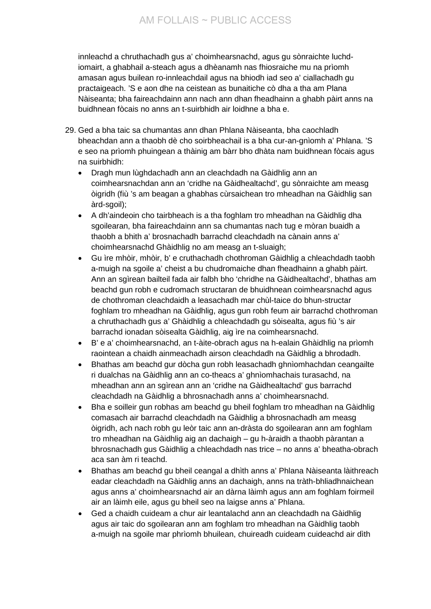innleachd a chruthachadh gus a' choimhearsnachd, agus gu sònraichte luchdiomairt, a ghabhail a-steach agus a dhèanamh nas fhiosraiche mu na prìomh amasan agus builean ro-innleachdail agus na bhiodh iad seo a' ciallachadh gu practaigeach. 'S e aon dhe na ceistean as bunaitiche cò dha a tha am Plana Nàiseanta; bha faireachdainn ann nach ann dhan fheadhainn a ghabh pàirt anns na buidhnean fòcais no anns an t-suirbhidh air loidhne a bha e.

- 29. Ged a bha taic sa chumantas ann dhan Phlana Nàiseanta, bha caochladh bheachdan ann a thaobh dè cho soirbheachail is a bha cur-an-gnìomh a' Phlana. 'S e seo na prìomh phuingean a thàinig am bàrr bho dhàta nam buidhnean fòcais agus na suirbhidh:
	- Dragh mun lùghdachadh ann an cleachdadh na Gàidhlig ann an coimhearsnachdan ann an 'cridhe na Gàidhealtachd', gu sònraichte am measg òigridh (fiù 's am beagan a ghabhas cùrsaichean tro mheadhan na Gàidhlig san àrd-sgoil);
	- A dh'aindeoin cho tairbheach is a tha foghlam tro mheadhan na Gàidhlig dha sgoilearan, bha faireachdainn ann sa chumantas nach tug e mòran buaidh a thaobh a bhith a' brosnachadh barrachd cleachdadh na cànain anns a' choimhearsnachd Ghàidhlig no am measg an t-sluaigh;
	- Gu ìre mhòir, mhòir, b' e cruthachadh chothroman Gàidhlig a chleachdadh taobh a-muigh na sgoile a' cheist a bu chudromaiche dhan fheadhainn a ghabh pàirt. Ann an sgìrean bailteil fada air falbh bho 'chridhe na Gàidhealtachd', bhathas am beachd gun robh e cudromach structaran de bhuidhnean coimhearsnachd agus de chothroman cleachdaidh a leasachadh mar chùl-taice do bhun-structar foghlam tro mheadhan na Gàidhlig, agus gun robh feum air barrachd chothroman a chruthachadh gus a' Ghàidhlig a chleachdadh gu sòisealta, agus fiù 's air barrachd ionadan sòisealta Gàidhlig, aig ìre na coimhearsnachd.
	- B' e a' choimhearsnachd, an t-àite-obrach agus na h-ealain Ghàidhlig na prìomh raointean a chaidh ainmeachadh airson cleachdadh na Gàidhlig a bhrodadh.
	- Bhathas am beachd gur dòcha gun robh leasachadh ghnìomhachdan ceangailte ri dualchas na Gàidhlig ann an co-theacs a' ghnìomhachais turasachd, na mheadhan ann an sgìrean ann an 'cridhe na Gàidhealtachd' gus barrachd cleachdadh na Gàidhlig a bhrosnachadh anns a' choimhearsnachd.
	- Bha e soilleir gun robhas am beachd gu bheil foghlam tro mheadhan na Gàidhlig comasach air barrachd cleachdadh na Gàidhlig a bhrosnachadh am measg òigridh, ach nach robh gu leòr taic ann an-dràsta do sgoilearan ann am foghlam tro mheadhan na Gàidhlig aig an dachaigh – gu h-àraidh a thaobh pàrantan a bhrosnachadh gus Gàidhlig a chleachdadh nas trice – no anns a' bheatha-obrach aca san àm ri teachd.
	- Bhathas am beachd gu bheil ceangal a dhìth anns a' Phlana Nàiseanta làithreach eadar cleachdadh na Gàidhlig anns an dachaigh, anns na tràth-bhliadhnaichean agus anns a' choimhearsnachd air an dàrna làimh agus ann am foghlam foirmeil air an làimh eile, agus gu bheil seo na laigse anns a' Phlana.
	- Ged a chaidh cuideam a chur air leantalachd ann an cleachdadh na Gàidhlig agus air taic do sgoilearan ann am foghlam tro mheadhan na Gàidhlig taobh a-muigh na sgoile mar phrìomh bhuilean, chuireadh cuideam cuideachd air dìth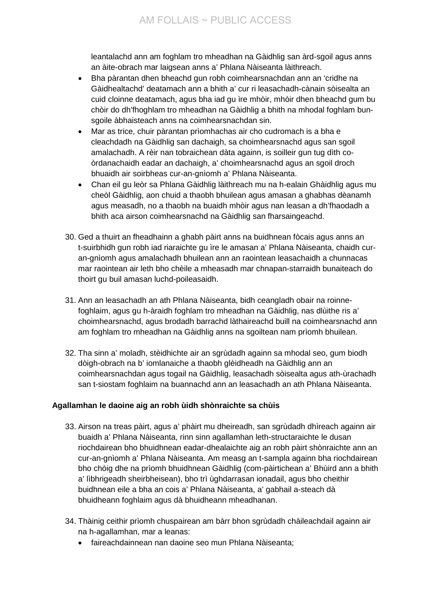leantalachd ann am foghlam tro mheadhan na Gàidhlig san àrd-sgoil agus anns an àite-obrach mar laigsean anns a' Phlana Nàiseanta làithreach.

- Bha pàrantan dhen bheachd gun robh coimhearsnachdan ann an 'cridhe na Gàidhealtachd' deatamach ann a bhith a' cur ri leasachadh-cànain sòisealta an cuid cloinne deatamach, agus bha iad gu ìre mhòir, mhòir dhen bheachd gum bu chòir do dh'fhoghlam tro mheadhan na Gàidhlig a bhith na mhodal foghlam bunsgoile àbhaisteach anns na coimhearsnachdan sin.
- Mar as trice, chuir pàrantan prìomhachas air cho cudromach is a bha e cleachdadh na Gàidhlig san dachaigh, sa choimhearsnachd agus san sgoil amalachadh. A rèir nan tobraichean dàta againn, is soilleir gun tug dìth coòrdanachaidh eadar an dachaigh, a' choimhearsnachd agus an sgoil droch bhuaidh air soirbheas cur-an-gnìomh a' Phlana Nàiseanta.
- Chan eil gu leòr sa Phlana Gàidhlig làithreach mu na h-ealain Ghàidhlig agus mu cheòl Gàidhlig, aon chuid a thaobh bhuilean agus amasan a ghabhas dèanamh agus measadh, no a thaobh na buaidh mhòir agus nan leasan a dh'fhaodadh a bhith aca airson coimhearsnachd na Gàidhlig san fharsaingeachd.
- 30. Ged a thuirt an fheadhainn a ghabh pàirt anns na buidhnean fòcais agus anns an t-suirbhidh gun robh iad riaraichte gu ìre le amasan a' Phlana Nàiseanta, chaidh curan-gnìomh agus amalachadh bhuilean ann an raointean leasachaidh a chunnacas mar raointean air leth bho chèile a mheasadh mar chnapan-starraidh bunaiteach do thoirt gu buil amasan luchd-poileasaidh.
- 31. Ann an leasachadh an ath Phlana Nàiseanta, bidh ceangladh obair na roinnefoghlaim, agus gu h-àraidh foghlam tro mheadhan na Gàidhlig, nas dlùithe ris a' choimhearsnachd, agus brodadh barrachd làthaireachd buill na coimhearsnachd ann am foghlam tro mheadhan na Gàidhlig anns na sgoiltean nam prìomh bhuilean.
- 32. Tha sinn a' moladh, stèidhichte air an sgrùdadh againn sa mhodal seo, gum biodh dòigh-obrach na b' iomlanaiche a thaobh glèidheadh na Gàidhlig ann an coimhearsnachdan agus togail na Gàidhlig, leasachadh sòisealta agus ath-ùrachadh san t-siostam foghlaim na buannachd ann an leasachadh an ath Phlana Nàiseanta.

## **Agallamhan le daoine aig an robh ùidh shònraichte sa chùis**

- 33. Airson na treas pàirt, agus a' phàirt mu dheireadh, san sgrùdadh dhìreach againn air buaidh a' Phlana Nàiseanta, rinn sinn agallamhan leth-structaraichte le dusan riochdairean bho bhuidhnean eadar-dhealaichte aig an robh pàirt shònraichte ann an cur-an-gnìomh a' Phlana Nàiseanta. Am measg an t-sampla againn bha riochdairean bho chòig dhe na prìomh bhuidhnean Gàidhlig (com-pàirtichean a' Bhùird ann a bhith a' lìbhrigeadh sheirbheisean), bho trì ùghdarrasan ionadail, agus bho cheithir buidhnean eile a bha an cois a' Phlana Nàiseanta, a' gabhail a-steach dà bhuidheann foghlaim agus dà bhuidheann mheadhanan.
- 34. Thàinig ceithir prìomh chuspairean am bàrr bhon sgrùdadh chàileachdail againn air na h-agallamhan, mar a leanas:
	- faireachdainnean nan daoine seo mun Phlana Nàiseanta;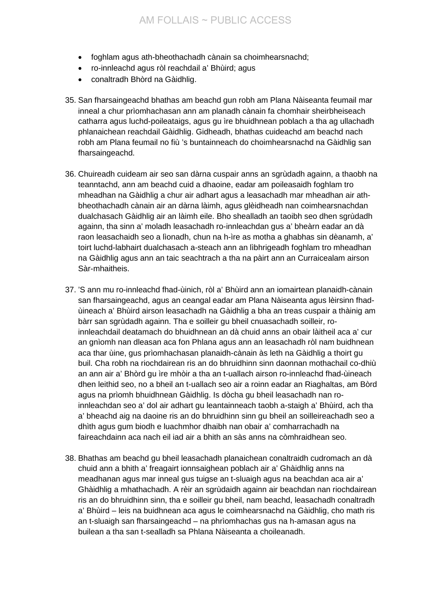- foghlam agus ath-bheothachadh cànain sa choimhearsnachd;
- ro-innleachd agus ròl reachdail a' Bhùird; agus
- conaltradh Bhòrd na Gàidhlig.
- 35. San fharsaingeachd bhathas am beachd gun robh am Plana Nàiseanta feumail mar inneal a chur prìomhachasan ann am planadh cànain fa chomhair sheirbheiseach catharra agus luchd-poileataigs, agus gu ìre bhuidhnean poblach a tha ag ullachadh phlanaichean reachdail Gàidhlig. Gidheadh, bhathas cuideachd am beachd nach robh am Plana feumail no fiù 's buntainneach do choimhearsnachd na Gàidhlig san fharsaingeachd.
- 36. Chuireadh cuideam air seo san dàrna cuspair anns an sgrùdadh againn, a thaobh na teanntachd, ann am beachd cuid a dhaoine, eadar am poileasaidh foghlam tro mheadhan na Gàidhlig a chur air adhart agus a leasachadh mar mheadhan air athbheothachadh cànain air an dàrna làimh, agus glèidheadh nan coimhearsnachdan dualchasach Gàidhlig air an làimh eile. Bho shealladh an taoibh seo dhen sgrùdadh againn, tha sinn a' moladh leasachadh ro-innleachdan gus a' bheàrn eadar an dà raon leasachaidh seo a lìonadh, chun na h-ìre as motha a ghabhas sin dèanamh, a' toirt luchd-labhairt dualchasach a-steach ann an lìbhrigeadh foghlam tro mheadhan na Gàidhlig agus ann an taic seachtrach a tha na pàirt ann an Curraicealam airson Sàr-mhaitheis.
- 37. 'S ann mu ro-innleachd fhad-ùinich, ròl a' Bhùird ann an iomairtean planaidh-cànain san fharsaingeachd, agus an ceangal eadar am Plana Nàiseanta agus lèirsinn fhadùineach a' Bhùird airson leasachadh na Gàidhlig a bha an treas cuspair a thàinig am bàrr san sgrùdadh againn. Tha e soilleir gu bheil cnuasachadh soilleir, roinnleachdail deatamach do bhuidhnean an dà chuid anns an obair làitheil aca a' cur an gnìomh nan dleasan aca fon Phlana agus ann an leasachadh ròl nam buidhnean aca thar ùine, gus prìomhachasan planaidh-cànain às leth na Gàidhlig a thoirt gu buil. Cha robh na riochdairean ris an do bhruidhinn sinn daonnan mothachail co-dhiù an ann air a' Bhòrd gu ìre mhòir a tha an t-uallach airson ro-innleachd fhad-ùineach dhen leithid seo, no a bheil an t-uallach seo air a roinn eadar an Riaghaltas, am Bòrd agus na prìomh bhuidhnean Gàidhlig. Is dòcha gu bheil leasachadh nan roinnleachdan seo a' dol air adhart gu leantainneach taobh a-staigh a' Bhùird, ach tha a' bheachd aig na daoine ris an do bhruidhinn sinn gu bheil an soilleireachadh seo a dhìth agus gum biodh e luachmhor dhaibh nan obair a' comharrachadh na faireachdainn aca nach eil iad air a bhith an sàs anns na còmhraidhean seo.
- 38. Bhathas am beachd gu bheil leasachadh planaichean conaltraidh cudromach an dà chuid ann a bhith a' freagairt ionnsaighean poblach air a' Ghàidhlig anns na meadhanan agus mar inneal gus tuigse an t-sluaigh agus na beachdan aca air a' Ghàidhlig a mhathachadh. A rèir an sgrùdaidh againn air beachdan nan riochdairean ris an do bhruidhinn sinn, tha e soilleir gu bheil, nam beachd, leasachadh conaltradh a' Bhùird – leis na buidhnean aca agus le coimhearsnachd na Gàidhlig, cho math ris an t-sluaigh san fharsaingeachd – na phrìomhachas gus na h-amasan agus na builean a tha san t-sealladh sa Phlana Nàiseanta a choileanadh.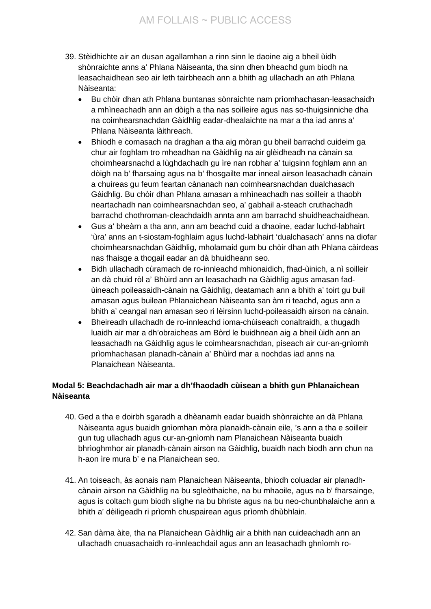- 39. Stèidhichte air an dusan agallamhan a rinn sinn le daoine aig a bheil ùidh shònraichte anns a' Phlana Nàiseanta, tha sinn dhen bheachd gum biodh na leasachaidhean seo air leth tairbheach ann a bhith ag ullachadh an ath Phlana Nàiseanta:
	- Bu chòir dhan ath Phlana buntanas sònraichte nam prìomhachasan-leasachaidh a mhìneachadh ann an dòigh a tha nas soilleire agus nas so-thuigsinniche dha na coimhearsnachdan Gàidhlig eadar-dhealaichte na mar a tha iad anns a' Phlana Nàiseanta làithreach.
	- Bhiodh e comasach na draghan a tha aig mòran gu bheil barrachd cuideim ga chur air foghlam tro mheadhan na Gàidhlig na air glèidheadh na cànain sa choimhearsnachd a lùghdachadh gu ìre nan robhar a' tuigsinn foghlam ann an dòigh na b' fharsaing agus na b' fhosgailte mar inneal airson leasachadh cànain a chuireas gu feum feartan cànanach nan coimhearsnachdan dualchasach Gàidhlig. Bu chòir dhan Phlana amasan a mhìneachadh nas soilleir a thaobh neartachadh nan coimhearsnachdan seo, a' gabhail a-steach cruthachadh barrachd chothroman-cleachdaidh annta ann am barrachd shuidheachaidhean.
	- Gus a' bheàrn a tha ann, ann am beachd cuid a dhaoine, eadar luchd-labhairt 'ùra' anns an t-siostam-foghlaim agus luchd-labhairt 'dualchasach' anns na diofar choimhearsnachdan Gàidhlig, mholamaid gum bu chòir dhan ath Phlana càirdeas nas fhaisge a thogail eadar an dà bhuidheann seo.
	- Bidh ullachadh cùramach de ro-innleachd mhionaidich, fhad-ùinich, a nì soilleir an dà chuid ròl a' Bhùird ann an leasachadh na Gàidhlig agus amasan fadùineach poileasaidh-cànain na Gàidhlig, deatamach ann a bhith a' toirt gu buil amasan agus builean Phlanaichean Nàiseanta san àm ri teachd, agus ann a bhith a' ceangal nan amasan seo ri lèirsinn luchd-poileasaidh airson na cànain.
	- Bheireadh ullachadh de ro-innleachd ioma-chùiseach conaltraidh, a thugadh luaidh air mar a dh'obraicheas am Bòrd le buidhnean aig a bheil ùidh ann an leasachadh na Gàidhlig agus le coimhearsnachdan, piseach air cur-an-gnìomh prìomhachasan planadh-cànain a' Bhùird mar a nochdas iad anns na Planaichean Nàiseanta.

## **Modal 5: Beachdachadh air mar a dh'fhaodadh cùisean a bhith gun Phlanaichean Nàiseanta**

- 40. Ged a tha e doirbh sgaradh a dhèanamh eadar buaidh shònraichte an dà Phlana Nàiseanta agus buaidh gnìomhan mòra planaidh-cànain eile, 's ann a tha e soilleir gun tug ullachadh agus cur-an-gnìomh nam Planaichean Nàiseanta buaidh bhrìoghmhor air planadh-cànain airson na Gàidhlig, buaidh nach biodh ann chun na h-aon ìre mura b' e na Planaichean seo.
- 41. An toiseach, às aonais nam Planaichean Nàiseanta, bhiodh coluadar air planadhcànain airson na Gàidhlig na bu sgleòthaiche, na bu mhaoile, agus na b' fharsainge, agus is coltach gum biodh slighe na bu bhriste agus na bu neo-chunbhalaiche ann a bhith a' dèiligeadh ri prìomh chuspairean agus prìomh dhùbhlain.
- 42. San dàrna àite, tha na Planaichean Gàidhlig air a bhith nan cuideachadh ann an ullachadh cnuasachaidh ro-innleachdail agus ann an leasachadh ghnìomh ro-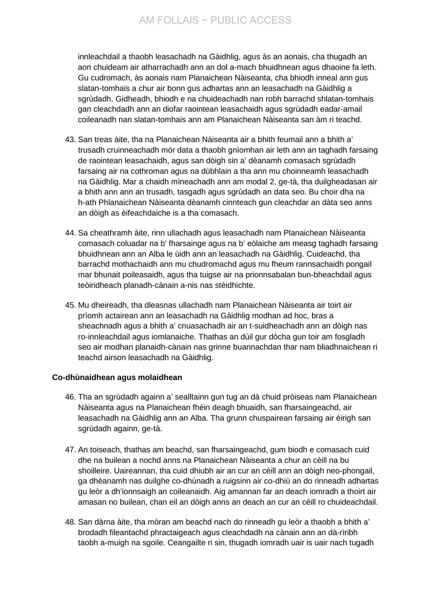innleachdail a thaobh leasachadh na Gàidhlig, agus às an aonais, cha thugadh an aon chuideam air atharrachadh ann an dol a-mach bhuidhnean agus dhaoine fa leth. Gu cudromach, às aonais nam Planaichean Nàiseanta, cha bhiodh inneal ann gus slatan-tomhais a chur air bonn gus adhartas ann an leasachadh na Gàidhlig a sgrùdadh. Gidheadh, bhiodh e na chuideachadh nan robh barrachd shlatan-tomhais gan cleachdadh ann an diofar raointean leasachaidh agus sgrùdadh eadar-amail coileanadh nan slatan-tomhais ann am Planaichean Nàiseanta san àm ri teachd.

- 43. San treas àite, tha na Planaichean Nàiseanta air a bhith feumail ann a bhith a' trusadh cruinneachadh mòr data a thaobh gnìomhan air leth ann an taghadh farsaing de raointean leasachaidh, agus san dòigh sin a' dèanamh comasach sgrùdadh farsaing air na cothroman agus na dùbhlain a tha ann mu choinneamh leasachadh na Gàidhlig. Mar a chaidh mìneachadh ann am modal 2, ge-tà, tha duilgheadasan air a bhith ann ann an trusadh, tasgadh agus sgrùdadh an data seo. Bu choir dha na h-ath Phlanaichean Nàiseanta dèanamh cinnteach gun cleachdar an dàta seo anns an dòigh as èifeachdaiche is a tha comasach.
- 44. Sa cheathramh àite, rinn ullachadh agus leasachadh nam Planaichean Nàiseanta comasach coluadar na b' fharsainge agus na b' eòlaiche am measg taghadh farsaing bhuidhnean ann an Alba le ùidh ann an leasachadh na Gàidhlig. Cuideachd, tha barrachd mothachaidh ann mu chudromachd agus mu fheum rannsachaidh pongail mar bhunait poileasaidh, agus tha tuigse air na prionnsabalan bun-bheachdail agus teòiridheach planadh-cànain a-nis nas stèidhichte.
- 45. Mu dheireadh, tha dleasnas ullachadh nam Planaichean Nàiseanta air toirt air prìomh actairean ann an leasachadh na Gàidhlig modhan ad hoc, bras a sheachnadh agus a bhith a' cnuasachadh air an t-suidheachadh ann an dòigh nas ro-innleachdail agus iomlanaiche. Thathas an dùil gur dòcha gun toir am fosgladh seo air modhan planaidh-cànain nas grinne buannachdan thar nam bliadhnaichean ri teachd airson leasachadh na Gàidhlig.

## **Co-dhùnaidhean agus molaidhean**

- 46. Tha an sgrùdadh againn a' sealltainn gun tug an dà chuid pròiseas nam Planaichean Nàiseanta agus na Planaichean fhèin deagh bhuaidh, san fharsaingeachd, air leasachadh na Gàidhlig ann an Alba. Tha grunn chuspairean farsaing air èirigh san sgrùdadh againn, ge-tà.
- 47. An toiseach, thathas am beachd, san fharsaingeachd, gum biodh e comasach cuid dhe na builean a nochd anns na Planaichean Nàiseanta a chur an cèill na bu shoilleire. Uaireannan, tha cuid dhiubh air an cur an cèill ann an dòigh neo-phongail, ga dhèanamh nas duilghe co-dhùnadh a ruigsinn air co-dhiù an do rinneadh adhartas gu leòr a dh'ionnsaigh an coileanaidh. Aig amannan far an deach iomradh a thoirt air amasan no builean, chan eil an dòigh anns an deach an cur an cèill ro chuideachdail.
- 48. San dàrna àite, tha mòran am beachd nach do rinneadh gu leòr a thaobh a bhith a' brodadh fileantachd phractaigeach agus cleachdadh na cànain ann an dà-rìribh taobh a-muigh na sgoile. Ceangailte ri sin, thugadh iomradh uair is uair nach tugadh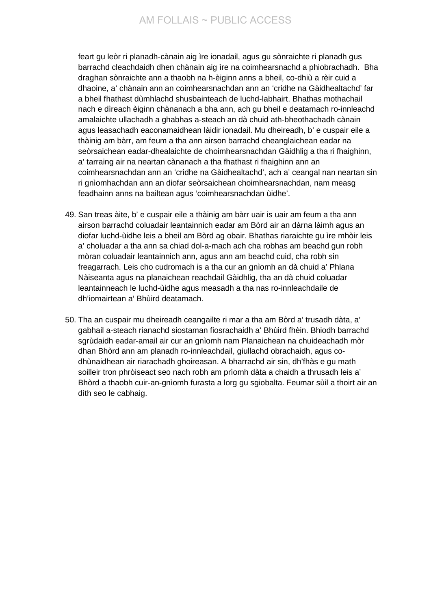# AM FOLLAIS ~ PUBLIC ACCESS

feart gu leòr ri planadh-cànain aig ìre ionadail, agus gu sònraichte ri planadh gus barrachd cleachdaidh dhen chànain aig ìre na coimhearsnachd a phiobrachadh. Bha draghan sònraichte ann a thaobh na h-èiginn anns a bheil, co-dhiù a rèir cuid a dhaoine, a' chànain ann an coimhearsnachdan ann an 'cridhe na Gàidhealtachd' far a bheil fhathast dùmhlachd shusbainteach de luchd-labhairt. Bhathas mothachail nach e dìreach èiginn chànanach a bha ann, ach gu bheil e deatamach ro-innleachd amalaichte ullachadh a ghabhas a-steach an dà chuid ath-bheothachadh cànain agus leasachadh eaconamaidhean làidir ionadail. Mu dheireadh, b' e cuspair eile a thàinig am bàrr, am feum a tha ann airson barrachd cheanglaichean eadar na seòrsaichean eadar-dhealaichte de choimhearsnachdan Gàidhlig a tha ri fhaighinn, a' tarraing air na neartan cànanach a tha fhathast ri fhaighinn ann an coimhearsnachdan ann an 'cridhe na Gàidhealtachd', ach a' ceangal nan neartan sin ri gnìomhachdan ann an diofar seòrsaichean choimhearsnachdan, nam measg feadhainn anns na bailtean agus 'coimhearsnachdan ùidhe'.

- 49. San treas àite, b' e cuspair eile a thàinig am bàrr uair is uair am feum a tha ann airson barrachd coluadair leantainnich eadar am Bòrd air an dàrna làimh agus an diofar luchd-ùidhe leis a bheil am Bòrd ag obair. Bhathas riaraichte gu ìre mhòir leis a' choluadar a tha ann sa chiad dol-a-mach ach cha robhas am beachd gun robh mòran coluadair leantainnich ann, agus ann am beachd cuid, cha robh sin freagarrach. Leis cho cudromach is a tha cur an gnìomh an dà chuid a' Phlana Nàiseanta agus na planaichean reachdail Gàidhlig, tha an dà chuid coluadar leantainneach le luchd-ùidhe agus measadh a tha nas ro-innleachdaile de dh'iomairtean a' Bhùird deatamach.
- 50. Tha an cuspair mu dheireadh ceangailte ri mar a tha am Bòrd a' trusadh dàta, a' gabhail a-steach rianachd siostaman fiosrachaidh a' Bhùird fhèin. Bhiodh barrachd sgrùdaidh eadar-amail air cur an gnìomh nam Planaichean na chuideachadh mòr dhan Bhòrd ann am planadh ro-innleachdail, giullachd obrachaidh, agus codhùnaidhean air riarachadh ghoireasan. A bharrachd air sin, dh'fhàs e gu math soilleir tron phròiseact seo nach robh am prìomh dàta a chaidh a thrusadh leis a' Bhòrd a thaobh cuir-an-gnìomh furasta a lorg gu sgiobalta. Feumar sùil a thoirt air an dìth seo le cabhaig.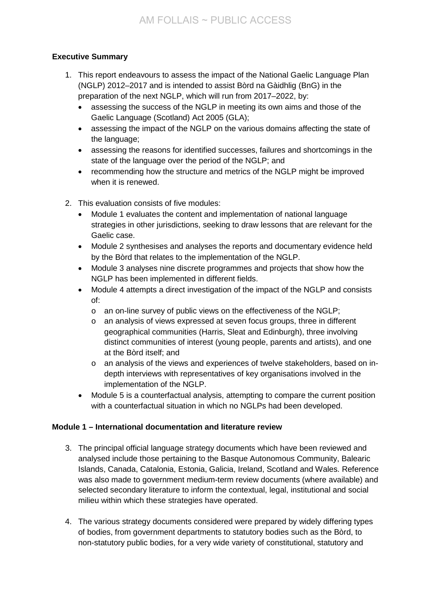# **Executive Summary**

- 1. This report endeavours to assess the impact of the National Gaelic Language Plan (NGLP) 2012–2017 and is intended to assist Bòrd na Gàidhlig (BnG) in the preparation of the next NGLP, which will run from 2017–2022, by:
	- assessing the success of the NGLP in meeting its own aims and those of the Gaelic Language (Scotland) Act 2005 (GLA);
	- assessing the impact of the NGLP on the various domains affecting the state of the language;
	- assessing the reasons for identified successes, failures and shortcomings in the state of the language over the period of the NGLP; and
	- recommending how the structure and metrics of the NGLP might be improved when it is renewed.
- 2. This evaluation consists of five modules:
	- Module 1 evaluates the content and implementation of national language strategies in other jurisdictions, seeking to draw lessons that are relevant for the Gaelic case.
	- Module 2 synthesises and analyses the reports and documentary evidence held by the Bòrd that relates to the implementation of the NGLP.
	- Module 3 analyses nine discrete programmes and projects that show how the NGLP has been implemented in different fields.
	- Module 4 attempts a direct investigation of the impact of the NGLP and consists of:
		- o an on-line survey of public views on the effectiveness of the NGLP;
		- o an analysis of views expressed at seven focus groups, three in different geographical communities (Harris, Sleat and Edinburgh), three involving distinct communities of interest (young people, parents and artists), and one at the Bòrd itself; and
		- o an analysis of the views and experiences of twelve stakeholders, based on indepth interviews with representatives of key organisations involved in the implementation of the NGLP.
	- Module 5 is a counterfactual analysis, attempting to compare the current position with a counterfactual situation in which no NGLPs had been developed.

# **Module 1 – International documentation and literature review**

- 3. The principal official language strategy documents which have been reviewed and analysed include those pertaining to the Basque Autonomous Community, Balearic Islands, Canada, Catalonia, Estonia, Galicia, Ireland, Scotland and Wales. Reference was also made to government medium-term review documents (where available) and selected secondary literature to inform the contextual, legal, institutional and social milieu within which these strategies have operated.
- 4. The various strategy documents considered were prepared by widely differing types of bodies, from government departments to statutory bodies such as the Bòrd, to non-statutory public bodies, for a very wide variety of constitutional, statutory and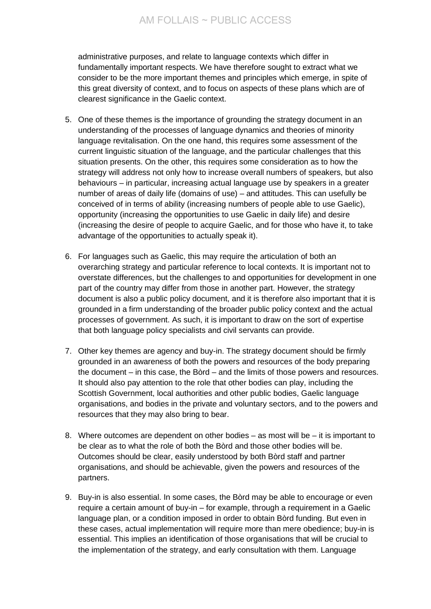administrative purposes, and relate to language contexts which differ in fundamentally important respects. We have therefore sought to extract what we consider to be the more important themes and principles which emerge, in spite of this great diversity of context, and to focus on aspects of these plans which are of clearest significance in the Gaelic context.

- 5. One of these themes is the importance of grounding the strategy document in an understanding of the processes of language dynamics and theories of minority language revitalisation. On the one hand, this requires some assessment of the current linguistic situation of the language, and the particular challenges that this situation presents. On the other, this requires some consideration as to how the strategy will address not only how to increase overall numbers of speakers, but also behaviours – in particular, increasing actual language use by speakers in a greater number of areas of daily life (domains of use) – and attitudes. This can usefully be conceived of in terms of ability (increasing numbers of people able to use Gaelic), opportunity (increasing the opportunities to use Gaelic in daily life) and desire (increasing the desire of people to acquire Gaelic, and for those who have it, to take advantage of the opportunities to actually speak it).
- 6. For languages such as Gaelic, this may require the articulation of both an overarching strategy and particular reference to local contexts. It is important not to overstate differences, but the challenges to and opportunities for development in one part of the country may differ from those in another part. However, the strategy document is also a public policy document, and it is therefore also important that it is grounded in a firm understanding of the broader public policy context and the actual processes of government. As such, it is important to draw on the sort of expertise that both language policy specialists and civil servants can provide.
- 7. Other key themes are agency and buy-in. The strategy document should be firmly grounded in an awareness of both the powers and resources of the body preparing the document – in this case, the Bòrd – and the limits of those powers and resources. It should also pay attention to the role that other bodies can play, including the Scottish Government, local authorities and other public bodies, Gaelic language organisations, and bodies in the private and voluntary sectors, and to the powers and resources that they may also bring to bear.
- 8. Where outcomes are dependent on other bodies as most will be it is important to be clear as to what the role of both the Bòrd and those other bodies will be. Outcomes should be clear, easily understood by both Bòrd staff and partner organisations, and should be achievable, given the powers and resources of the partners.
- 9. Buy-in is also essential. In some cases, the Bòrd may be able to encourage or even require a certain amount of buy-in – for example, through a requirement in a Gaelic language plan, or a condition imposed in order to obtain Bòrd funding. But even in these cases, actual implementation will require more than mere obedience; buy-in is essential. This implies an identification of those organisations that will be crucial to the implementation of the strategy, and early consultation with them. Language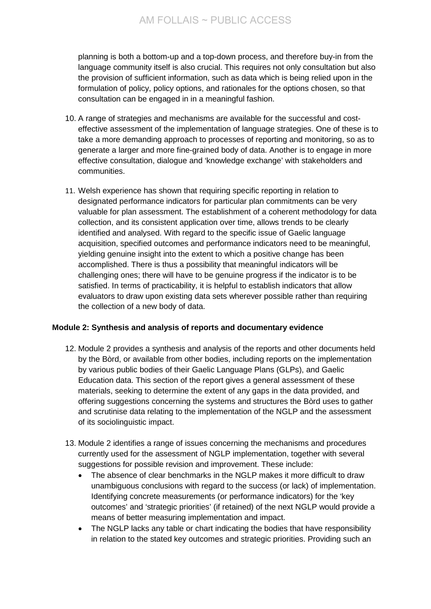planning is both a bottom-up and a top-down process, and therefore buy-in from the language community itself is also crucial. This requires not only consultation but also the provision of sufficient information, such as data which is being relied upon in the formulation of policy, policy options, and rationales for the options chosen, so that consultation can be engaged in in a meaningful fashion.

- 10. A range of strategies and mechanisms are available for the successful and costeffective assessment of the implementation of language strategies. One of these is to take a more demanding approach to processes of reporting and monitoring, so as to generate a larger and more fine-grained body of data. Another is to engage in more effective consultation, dialogue and 'knowledge exchange' with stakeholders and communities.
- 11. Welsh experience has shown that requiring specific reporting in relation to designated performance indicators for particular plan commitments can be very valuable for plan assessment. The establishment of a coherent methodology for data collection, and its consistent application over time, allows trends to be clearly identified and analysed. With regard to the specific issue of Gaelic language acquisition, specified outcomes and performance indicators need to be meaningful, yielding genuine insight into the extent to which a positive change has been accomplished. There is thus a possibility that meaningful indicators will be challenging ones; there will have to be genuine progress if the indicator is to be satisfied. In terms of practicability, it is helpful to establish indicators that allow evaluators to draw upon existing data sets wherever possible rather than requiring the collection of a new body of data.

## **Module 2: Synthesis and analysis of reports and documentary evidence**

- 12. Module 2 provides a synthesis and analysis of the reports and other documents held by the Bòrd, or available from other bodies, including reports on the implementation by various public bodies of their Gaelic Language Plans (GLPs), and Gaelic Education data. This section of the report gives a general assessment of these materials, seeking to determine the extent of any gaps in the data provided, and offering suggestions concerning the systems and structures the Bòrd uses to gather and scrutinise data relating to the implementation of the NGLP and the assessment of its sociolinguistic impact.
- 13. Module 2 identifies a range of issues concerning the mechanisms and procedures currently used for the assessment of NGLP implementation, together with several suggestions for possible revision and improvement. These include:
	- The absence of clear benchmarks in the NGLP makes it more difficult to draw unambiguous conclusions with regard to the success (or lack) of implementation. Identifying concrete measurements (or performance indicators) for the 'key outcomes' and 'strategic priorities' (if retained) of the next NGLP would provide a means of better measuring implementation and impact.
	- The NGLP lacks any table or chart indicating the bodies that have responsibility in relation to the stated key outcomes and strategic priorities. Providing such an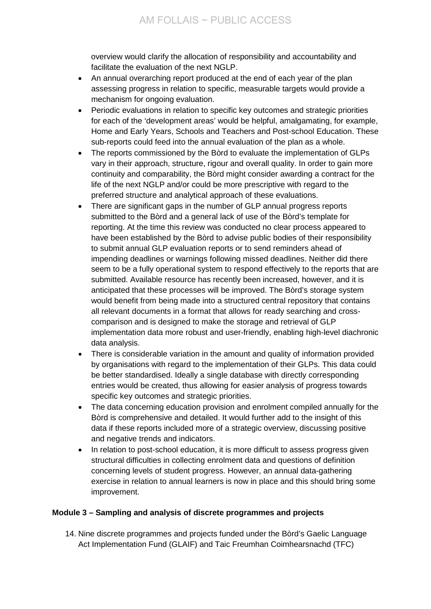overview would clarify the allocation of responsibility and accountability and facilitate the evaluation of the next NGLP.

- An annual overarching report produced at the end of each year of the plan assessing progress in relation to specific, measurable targets would provide a mechanism for ongoing evaluation.
- Periodic evaluations in relation to specific key outcomes and strategic priorities for each of the 'development areas' would be helpful, amalgamating, for example, Home and Early Years, Schools and Teachers and Post-school Education. These sub-reports could feed into the annual evaluation of the plan as a whole.
- The reports commissioned by the Bòrd to evaluate the implementation of GLPs vary in their approach, structure, rigour and overall quality. In order to gain more continuity and comparability, the Bòrd might consider awarding a contract for the life of the next NGLP and/or could be more prescriptive with regard to the preferred structure and analytical approach of these evaluations.
- There are significant gaps in the number of GLP annual progress reports submitted to the Bòrd and a general lack of use of the Bòrd's template for reporting. At the time this review was conducted no clear process appeared to have been established by the Bòrd to advise public bodies of their responsibility to submit annual GLP evaluation reports or to send reminders ahead of impending deadlines or warnings following missed deadlines. Neither did there seem to be a fully operational system to respond effectively to the reports that are submitted. Available resource has recently been increased, however, and it is anticipated that these processes will be improved. The Bòrd's storage system would benefit from being made into a structured central repository that contains all relevant documents in a format that allows for ready searching and crosscomparison and is designed to make the storage and retrieval of GLP implementation data more robust and user-friendly, enabling high-level diachronic data analysis.
- There is considerable variation in the amount and quality of information provided by organisations with regard to the implementation of their GLPs. This data could be better standardised. Ideally a single database with directly corresponding entries would be created, thus allowing for easier analysis of progress towards specific key outcomes and strategic priorities.
- The data concerning education provision and enrolment compiled annually for the Bòrd is comprehensive and detailed. It would further add to the insight of this data if these reports included more of a strategic overview, discussing positive and negative trends and indicators.
- In relation to post-school education, it is more difficult to assess progress given structural difficulties in collecting enrolment data and questions of definition concerning levels of student progress. However, an annual data-gathering exercise in relation to annual learners is now in place and this should bring some improvement.

# **Module 3 – Sampling and analysis of discrete programmes and projects**

14. Nine discrete programmes and projects funded under the Bòrd's Gaelic Language Act Implementation Fund (GLAIF) and Taic Freumhan Coimhearsnachd (TFC)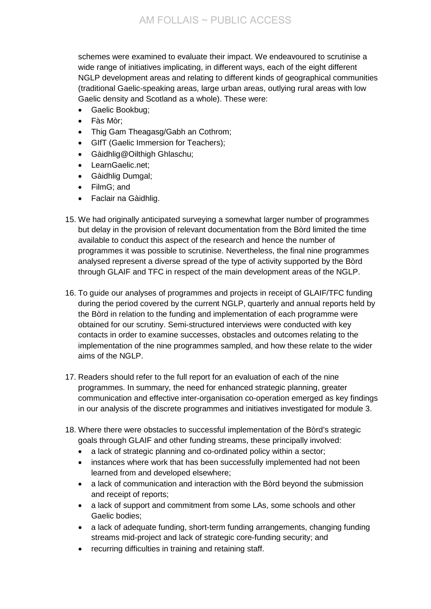schemes were examined to evaluate their impact. We endeavoured to scrutinise a wide range of initiatives implicating, in different ways, each of the eight different NGLP development areas and relating to different kinds of geographical communities (traditional Gaelic-speaking areas, large urban areas, outlying rural areas with low Gaelic density and Scotland as a whole). These were:

- Gaelic Bookbug:
- Fàs Mòr;
- Thig Gam Theagasg/Gabh an Cothrom;
- GIfT (Gaelic Immersion for Teachers);
- Gàidhlig@Oilthigh Ghlaschu;
- LearnGaelic.net;
- Gàidhlig Dumgal;
- FilmG; and
- Faclair na Gàidhlig.
- 15. We had originally anticipated surveying a somewhat larger number of programmes but delay in the provision of relevant documentation from the Bòrd limited the time available to conduct this aspect of the research and hence the number of programmes it was possible to scrutinise. Nevertheless, the final nine programmes analysed represent a diverse spread of the type of activity supported by the Bòrd through GLAIF and TFC in respect of the main development areas of the NGLP.
- 16. To guide our analyses of programmes and projects in receipt of GLAIF/TFC funding during the period covered by the current NGLP, quarterly and annual reports held by the Bòrd in relation to the funding and implementation of each programme were obtained for our scrutiny. Semi-structured interviews were conducted with key contacts in order to examine successes, obstacles and outcomes relating to the implementation of the nine programmes sampled, and how these relate to the wider aims of the NGLP.
- 17. Readers should refer to the full report for an evaluation of each of the nine programmes. In summary, the need for enhanced strategic planning, greater communication and effective inter-organisation co-operation emerged as key findings in our analysis of the discrete programmes and initiatives investigated for module 3.
- 18. Where there were obstacles to successful implementation of the Bòrd's strategic goals through GLAIF and other funding streams, these principally involved:
	- a lack of strategic planning and co-ordinated policy within a sector;
	- instances where work that has been successfully implemented had not been learned from and developed elsewhere;
	- a lack of communication and interaction with the Bòrd beyond the submission and receipt of reports;
	- a lack of support and commitment from some LAs, some schools and other Gaelic bodies;
	- a lack of adequate funding, short-term funding arrangements, changing funding streams mid-project and lack of strategic core-funding security; and
	- recurring difficulties in training and retaining staff.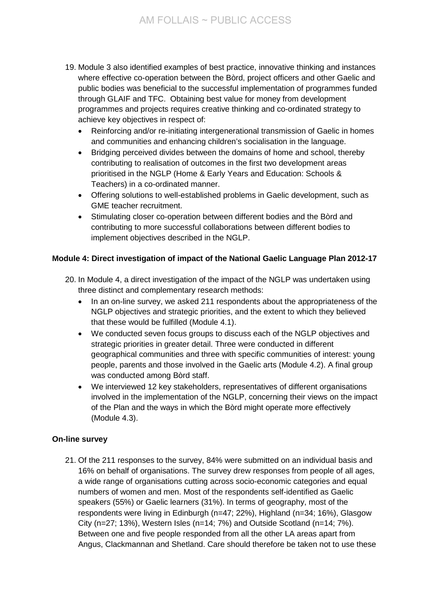- 19. Module 3 also identified examples of best practice, innovative thinking and instances where effective co-operation between the Bòrd, project officers and other Gaelic and public bodies was beneficial to the successful implementation of programmes funded through GLAIF and TFC. Obtaining best value for money from development programmes and projects requires creative thinking and co-ordinated strategy to achieve key objectives in respect of:
	- Reinforcing and/or re-initiating intergenerational transmission of Gaelic in homes and communities and enhancing children's socialisation in the language.
	- Bridging perceived divides between the domains of home and school, thereby contributing to realisation of outcomes in the first two development areas prioritised in the NGLP (Home & Early Years and Education: Schools & Teachers) in a co-ordinated manner.
	- Offering solutions to well-established problems in Gaelic development, such as GME teacher recruitment.
	- Stimulating closer co-operation between different bodies and the Bòrd and contributing to more successful collaborations between different bodies to implement objectives described in the NGLP.

## **Module 4: Direct investigation of impact of the National Gaelic Language Plan 2012-17**

- 20. In Module 4, a direct investigation of the impact of the NGLP was undertaken using three distinct and complementary research methods:
	- In an on-line survey, we asked 211 respondents about the appropriateness of the NGLP objectives and strategic priorities, and the extent to which they believed that these would be fulfilled (Module 4.1).
	- We conducted seven focus groups to discuss each of the NGLP objectives and strategic priorities in greater detail. Three were conducted in different geographical communities and three with specific communities of interest: young people, parents and those involved in the Gaelic arts (Module 4.2). A final group was conducted among Bòrd staff.
	- We interviewed 12 key stakeholders, representatives of different organisations involved in the implementation of the NGLP, concerning their views on the impact of the Plan and the ways in which the Bòrd might operate more effectively (Module 4.3).

## **On-line survey**

21. Of the 211 responses to the survey, 84% were submitted on an individual basis and 16% on behalf of organisations. The survey drew responses from people of all ages, a wide range of organisations cutting across socio-economic categories and equal numbers of women and men. Most of the respondents self-identified as Gaelic speakers (55%) or Gaelic learners (31%). In terms of geography, most of the respondents were living in Edinburgh (n=47; 22%), Highland (n=34; 16%), Glasgow City (n=27; 13%), Western Isles (n=14; 7%) and Outside Scotland (n=14; 7%). Between one and five people responded from all the other LA areas apart from Angus, Clackmannan and Shetland. Care should therefore be taken not to use these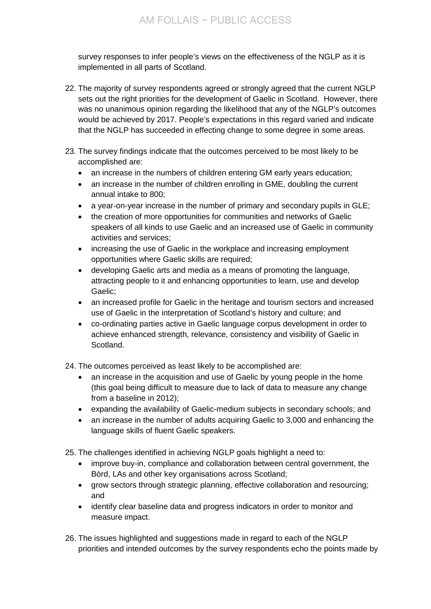survey responses to infer people's views on the effectiveness of the NGLP as it is implemented in all parts of Scotland.

- 22. The majority of survey respondents agreed or strongly agreed that the current NGLP sets out the right priorities for the development of Gaelic in Scotland. However, there was no unanimous opinion regarding the likelihood that any of the NGLP's outcomes would be achieved by 2017. People's expectations in this regard varied and indicate that the NGLP has succeeded in effecting change to some degree in some areas.
- 23. The survey findings indicate that the outcomes perceived to be most likely to be accomplished are:
	- an increase in the numbers of children entering GM early years education;
	- an increase in the number of children enrolling in GME, doubling the current annual intake to 800;
	- a year-on-year increase in the number of primary and secondary pupils in GLE;
	- the creation of more opportunities for communities and networks of Gaelic speakers of all kinds to use Gaelic and an increased use of Gaelic in community activities and services;
	- increasing the use of Gaelic in the workplace and increasing employment opportunities where Gaelic skills are required;
	- developing Gaelic arts and media as a means of promoting the language, attracting people to it and enhancing opportunities to learn, use and develop Gaelic;
	- an increased profile for Gaelic in the heritage and tourism sectors and increased use of Gaelic in the interpretation of Scotland's history and culture; and
	- co-ordinating parties active in Gaelic language corpus development in order to achieve enhanced strength, relevance, consistency and visibility of Gaelic in Scotland.

24. The outcomes perceived as least likely to be accomplished are:

- an increase in the acquisition and use of Gaelic by young people in the home (this goal being difficult to measure due to lack of data to measure any change from a baseline in 2012);
- expanding the availability of Gaelic-medium subjects in secondary schools; and
- an increase in the number of adults acquiring Gaelic to 3,000 and enhancing the language skills of fluent Gaelic speakers.

25. The challenges identified in achieving NGLP goals highlight a need to:

- improve buy-in, compliance and collaboration between central government, the Bòrd, LAs and other key organisations across Scotland;
- grow sectors through strategic planning, effective collaboration and resourcing; and
- identify clear baseline data and progress indicators in order to monitor and measure impact.
- 26. The issues highlighted and suggestions made in regard to each of the NGLP priorities and intended outcomes by the survey respondents echo the points made by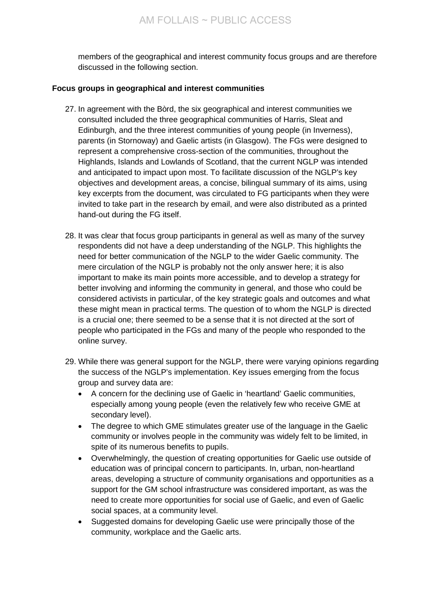members of the geographical and interest community focus groups and are therefore discussed in the following section.

#### **Focus groups in geographical and interest communities**

- 27. In agreement with the Bòrd, the six geographical and interest communities we consulted included the three geographical communities of Harris, Sleat and Edinburgh, and the three interest communities of young people (in Inverness), parents (in Stornoway) and Gaelic artists (in Glasgow). The FGs were designed to represent a comprehensive cross-section of the communities, throughout the Highlands, Islands and Lowlands of Scotland, that the current NGLP was intended and anticipated to impact upon most. To facilitate discussion of the NGLP's key objectives and development areas, a concise, bilingual summary of its aims, using key excerpts from the document, was circulated to FG participants when they were invited to take part in the research by email, and were also distributed as a printed hand-out during the FG itself.
- 28. It was clear that focus group participants in general as well as many of the survey respondents did not have a deep understanding of the NGLP. This highlights the need for better communication of the NGLP to the wider Gaelic community. The mere circulation of the NGLP is probably not the only answer here; it is also important to make its main points more accessible, and to develop a strategy for better involving and informing the community in general, and those who could be considered activists in particular, of the key strategic goals and outcomes and what these might mean in practical terms. The question of to whom the NGLP is directed is a crucial one; there seemed to be a sense that it is not directed at the sort of people who participated in the FGs and many of the people who responded to the online survey.
- 29. While there was general support for the NGLP, there were varying opinions regarding the success of the NGLP's implementation. Key issues emerging from the focus group and survey data are:
	- A concern for the declining use of Gaelic in 'heartland' Gaelic communities, especially among young people (even the relatively few who receive GME at secondary level).
	- The degree to which GME stimulates greater use of the language in the Gaelic community or involves people in the community was widely felt to be limited, in spite of its numerous benefits to pupils.
	- Overwhelmingly, the question of creating opportunities for Gaelic use outside of education was of principal concern to participants. In, urban, non-heartland areas, developing a structure of community organisations and opportunities as a support for the GM school infrastructure was considered important, as was the need to create more opportunities for social use of Gaelic, and even of Gaelic social spaces, at a community level.
	- Suggested domains for developing Gaelic use were principally those of the community, workplace and the Gaelic arts.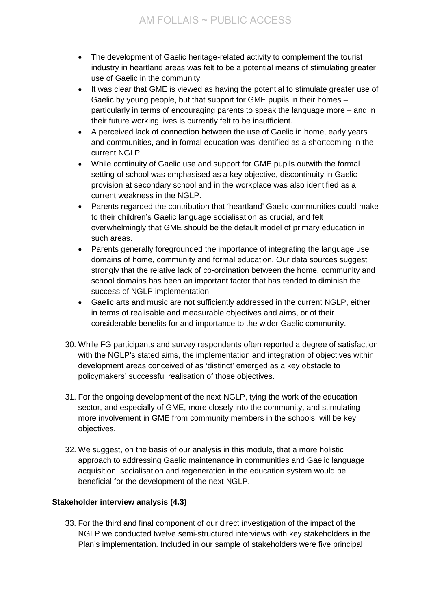- The development of Gaelic heritage-related activity to complement the tourist industry in heartland areas was felt to be a potential means of stimulating greater use of Gaelic in the community.
- It was clear that GME is viewed as having the potential to stimulate greater use of Gaelic by young people, but that support for GME pupils in their homes – particularly in terms of encouraging parents to speak the language more – and in their future working lives is currently felt to be insufficient.
- A perceived lack of connection between the use of Gaelic in home, early years and communities, and in formal education was identified as a shortcoming in the current NGLP.
- While continuity of Gaelic use and support for GME pupils outwith the formal setting of school was emphasised as a key objective, discontinuity in Gaelic provision at secondary school and in the workplace was also identified as a current weakness in the NGLP.
- Parents regarded the contribution that 'heartland' Gaelic communities could make to their children's Gaelic language socialisation as crucial, and felt overwhelmingly that GME should be the default model of primary education in such areas.
- Parents generally foregrounded the importance of integrating the language use domains of home, community and formal education. Our data sources suggest strongly that the relative lack of co-ordination between the home, community and school domains has been an important factor that has tended to diminish the success of NGLP implementation.
- Gaelic arts and music are not sufficiently addressed in the current NGLP, either in terms of realisable and measurable objectives and aims, or of their considerable benefits for and importance to the wider Gaelic community.
- 30. While FG participants and survey respondents often reported a degree of satisfaction with the NGLP's stated aims, the implementation and integration of objectives within development areas conceived of as 'distinct' emerged as a key obstacle to policymakers' successful realisation of those objectives.
- 31. For the ongoing development of the next NGLP, tying the work of the education sector, and especially of GME, more closely into the community, and stimulating more involvement in GME from community members in the schools, will be key objectives.
- 32. We suggest, on the basis of our analysis in this module, that a more holistic approach to addressing Gaelic maintenance in communities and Gaelic language acquisition, socialisation and regeneration in the education system would be beneficial for the development of the next NGLP.

# **Stakeholder interview analysis (4.3)**

33. For the third and final component of our direct investigation of the impact of the NGLP we conducted twelve semi-structured interviews with key stakeholders in the Plan's implementation. Included in our sample of stakeholders were five principal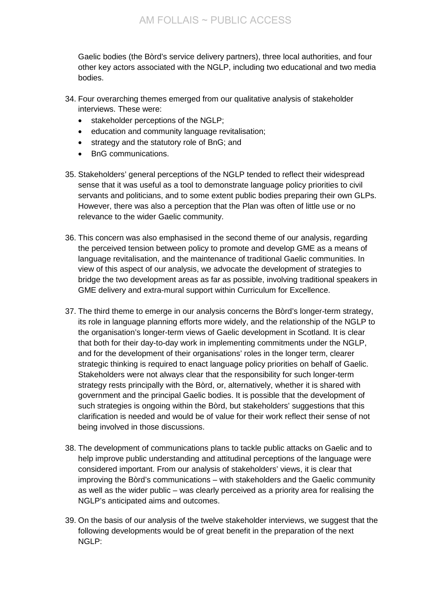Gaelic bodies (the Bòrd's service delivery partners), three local authorities, and four other key actors associated with the NGLP, including two educational and two media bodies.

- 34. Four overarching themes emerged from our qualitative analysis of stakeholder interviews. These were:
	- stakeholder perceptions of the NGLP;
	- education and community language revitalisation;
	- strategy and the statutory role of BnG; and
	- BnG communications.
- 35. Stakeholders' general perceptions of the NGLP tended to reflect their widespread sense that it was useful as a tool to demonstrate language policy priorities to civil servants and politicians, and to some extent public bodies preparing their own GLPs. However, there was also a perception that the Plan was often of little use or no relevance to the wider Gaelic community.
- 36. This concern was also emphasised in the second theme of our analysis, regarding the perceived tension between policy to promote and develop GME as a means of language revitalisation, and the maintenance of traditional Gaelic communities. In view of this aspect of our analysis, we advocate the development of strategies to bridge the two development areas as far as possible, involving traditional speakers in GME delivery and extra-mural support within Curriculum for Excellence.
- 37. The third theme to emerge in our analysis concerns the Bòrd's longer-term strategy, its role in language planning efforts more widely, and the relationship of the NGLP to the organisation's longer-term views of Gaelic development in Scotland. It is clear that both for their day-to-day work in implementing commitments under the NGLP, and for the development of their organisations' roles in the longer term, clearer strategic thinking is required to enact language policy priorities on behalf of Gaelic. Stakeholders were not always clear that the responsibility for such longer-term strategy rests principally with the Bòrd, or, alternatively, whether it is shared with government and the principal Gaelic bodies. It is possible that the development of such strategies is ongoing within the Bòrd, but stakeholders' suggestions that this clarification is needed and would be of value for their work reflect their sense of not being involved in those discussions.
- 38. The development of communications plans to tackle public attacks on Gaelic and to help improve public understanding and attitudinal perceptions of the language were considered important. From our analysis of stakeholders' views, it is clear that improving the Bòrd's communications – with stakeholders and the Gaelic community as well as the wider public – was clearly perceived as a priority area for realising the NGLP's anticipated aims and outcomes.
- 39. On the basis of our analysis of the twelve stakeholder interviews, we suggest that the following developments would be of great benefit in the preparation of the next NGLP: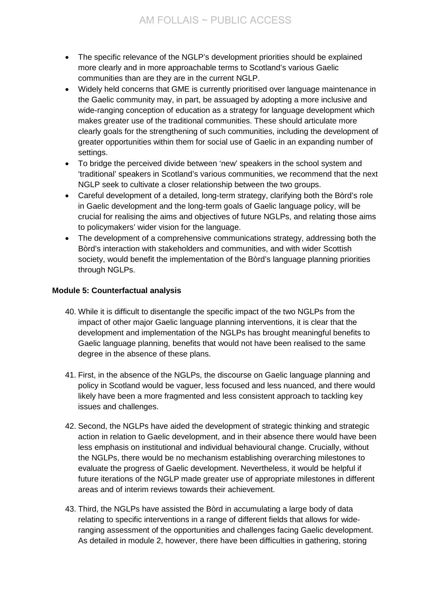- The specific relevance of the NGLP's development priorities should be explained more clearly and in more approachable terms to Scotland's various Gaelic communities than are they are in the current NGLP.
- Widely held concerns that GME is currently prioritised over language maintenance in the Gaelic community may, in part, be assuaged by adopting a more inclusive and wide-ranging conception of education as a strategy for language development which makes greater use of the traditional communities. These should articulate more clearly goals for the strengthening of such communities, including the development of greater opportunities within them for social use of Gaelic in an expanding number of settings.
- To bridge the perceived divide between 'new' speakers in the school system and 'traditional' speakers in Scotland's various communities, we recommend that the next NGLP seek to cultivate a closer relationship between the two groups.
- Careful development of a detailed, long-term strategy, clarifying both the Bòrd's role in Gaelic development and the long-term goals of Gaelic language policy, will be crucial for realising the aims and objectives of future NGLPs, and relating those aims to policymakers' wider vision for the language.
- The development of a comprehensive communications strategy, addressing both the Bòrd's interaction with stakeholders and communities, and with wider Scottish society, would benefit the implementation of the Bòrd's language planning priorities through NGLPs.

## **Module 5: Counterfactual analysis**

- 40. While it is difficult to disentangle the specific impact of the two NGLPs from the impact of other major Gaelic language planning interventions, it is clear that the development and implementation of the NGLPs has brought meaningful benefits to Gaelic language planning, benefits that would not have been realised to the same degree in the absence of these plans.
- 41. First, in the absence of the NGLPs, the discourse on Gaelic language planning and policy in Scotland would be vaguer, less focused and less nuanced, and there would likely have been a more fragmented and less consistent approach to tackling key issues and challenges.
- 42. Second, the NGLPs have aided the development of strategic thinking and strategic action in relation to Gaelic development, and in their absence there would have been less emphasis on institutional and individual behavioural change. Crucially, without the NGLPs, there would be no mechanism establishing overarching milestones to evaluate the progress of Gaelic development. Nevertheless, it would be helpful if future iterations of the NGLP made greater use of appropriate milestones in different areas and of interim reviews towards their achievement.
- 43. Third, the NGLPs have assisted the Bòrd in accumulating a large body of data relating to specific interventions in a range of different fields that allows for wideranging assessment of the opportunities and challenges facing Gaelic development. As detailed in module 2, however, there have been difficulties in gathering, storing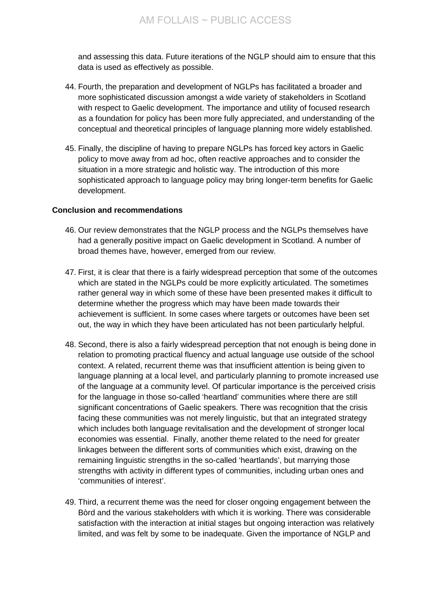and assessing this data. Future iterations of the NGLP should aim to ensure that this data is used as effectively as possible.

- 44. Fourth, the preparation and development of NGLPs has facilitated a broader and more sophisticated discussion amongst a wide variety of stakeholders in Scotland with respect to Gaelic development. The importance and utility of focused research as a foundation for policy has been more fully appreciated, and understanding of the conceptual and theoretical principles of language planning more widely established.
- 45. Finally, the discipline of having to prepare NGLPs has forced key actors in Gaelic policy to move away from ad hoc, often reactive approaches and to consider the situation in a more strategic and holistic way. The introduction of this more sophisticated approach to language policy may bring longer-term benefits for Gaelic development.

#### **Conclusion and recommendations**

- 46. Our review demonstrates that the NGLP process and the NGLPs themselves have had a generally positive impact on Gaelic development in Scotland. A number of broad themes have, however, emerged from our review.
- 47. First, it is clear that there is a fairly widespread perception that some of the outcomes which are stated in the NGLPs could be more explicitly articulated. The sometimes rather general way in which some of these have been presented makes it difficult to determine whether the progress which may have been made towards their achievement is sufficient. In some cases where targets or outcomes have been set out, the way in which they have been articulated has not been particularly helpful.
- 48. Second, there is also a fairly widespread perception that not enough is being done in relation to promoting practical fluency and actual language use outside of the school context. A related, recurrent theme was that insufficient attention is being given to language planning at a local level, and particularly planning to promote increased use of the language at a community level. Of particular importance is the perceived crisis for the language in those so-called 'heartland' communities where there are still significant concentrations of Gaelic speakers. There was recognition that the crisis facing these communities was not merely linguistic, but that an integrated strategy which includes both language revitalisation and the development of stronger local economies was essential. Finally, another theme related to the need for greater linkages between the different sorts of communities which exist, drawing on the remaining linguistic strengths in the so-called 'heartlands', but marrying those strengths with activity in different types of communities, including urban ones and 'communities of interest'.
- 49. Third, a recurrent theme was the need for closer ongoing engagement between the Bòrd and the various stakeholders with which it is working. There was considerable satisfaction with the interaction at initial stages but ongoing interaction was relatively limited, and was felt by some to be inadequate. Given the importance of NGLP and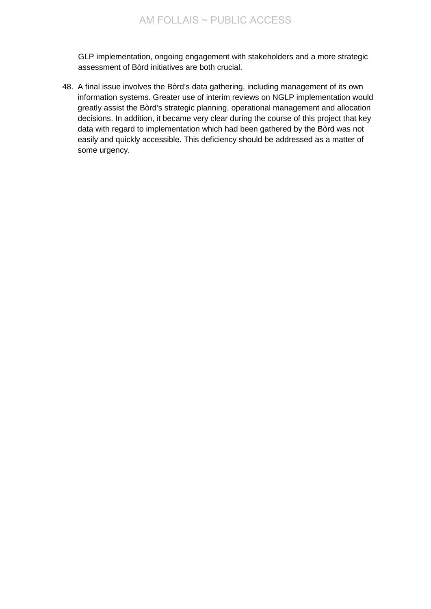GLP implementation, ongoing engagement with stakeholders and a more strategic assessment of Bòrd initiatives are both crucial.

48. A final issue involves the Bòrd's data gathering, including management of its own information systems. Greater use of interim reviews on NGLP implementation would greatly assist the Bòrd's strategic planning, operational management and allocation decisions. In addition, it became very clear during the course of this project that key data with regard to implementation which had been gathered by the Bòrd was not easily and quickly accessible. This deficiency should be addressed as a matter of some urgency.